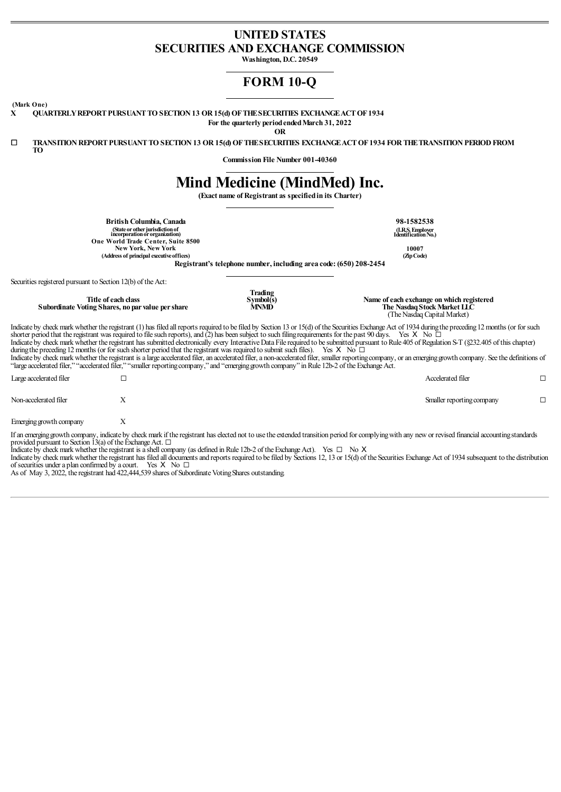# **UNITED STATES SECURITIES AND EXCHANGE COMMISSION**

**Washington, D.C. 20549**

# **FORM 10-Q**

**(Mark One)**

**X QUARTERLYREPORTPURSUANTTOSECTION13 OR15(d)OFTHESECURITIES EXCHANGEACTOF1934**

**For the quarterly periodendedMarch 31, 2022 OR**

☐ **TRANSITIONREPORTPURSUANTTOSECTION13 OR15(d)OFTHESECURITIES EXCHANGEACTOF1934 FORTHETRANSITIONPERIODFROM TO**

**Commission File Number 001-40360**

# **Mind Medicine (MindMed) Inc.**

**(Exact name of Registrant as specifiedin its Charter)**

|                                                                                                                                                                                                                                                                                                                                                                                                                                                                                                                                                                                                                                                                                                                                                                                                                                                                                                                                                                                                                                                                                                      | British Columbia, Canada<br>(State or other jurisdiction of<br>incorporation or organization)<br>One World Trade Center, Suite 8500<br><b>New York, New York</b><br>(Address of principal executive offices) | 98-1582538<br>(I.R.S. Employer<br>Identification No.)<br>10007<br>(Zip Code)<br>Registrant's telephone number, including area code: (650) 208-2454 |  |                           |        |  |  |
|------------------------------------------------------------------------------------------------------------------------------------------------------------------------------------------------------------------------------------------------------------------------------------------------------------------------------------------------------------------------------------------------------------------------------------------------------------------------------------------------------------------------------------------------------------------------------------------------------------------------------------------------------------------------------------------------------------------------------------------------------------------------------------------------------------------------------------------------------------------------------------------------------------------------------------------------------------------------------------------------------------------------------------------------------------------------------------------------------|--------------------------------------------------------------------------------------------------------------------------------------------------------------------------------------------------------------|----------------------------------------------------------------------------------------------------------------------------------------------------|--|---------------------------|--------|--|--|
| Securities registered pursuant to Section 12(b) of the Act:                                                                                                                                                                                                                                                                                                                                                                                                                                                                                                                                                                                                                                                                                                                                                                                                                                                                                                                                                                                                                                          |                                                                                                                                                                                                              |                                                                                                                                                    |  |                           |        |  |  |
| Title of each class<br>Subordinate Voting Shares, no par value per share                                                                                                                                                                                                                                                                                                                                                                                                                                                                                                                                                                                                                                                                                                                                                                                                                                                                                                                                                                                                                             |                                                                                                                                                                                                              | Name of each exchange on which registered<br>The Nasdaq Stock Market LLC<br>(The Nasdaq Capital Market)                                            |  |                           |        |  |  |
| Indicate by check mark whether the registrant (1) has filed all reports required to be filed by Section 13 or 15(d) of the Securities Exchange Act of 1934 during the preceding 12 months (or for such<br>shorter period that the registrant was required to file such reports), and (2) has been subject to such filing requirements for the past 90 days. Yes X No $\Box$<br>Indicate by check mark whether the registrant has submitted electronically every Interactive Data File required to be submitted pursuant to Rule 405 of Regulation S-T (\$232.405 of this chapter)<br>during the preceding 12 months (or for such shorter period that the registrant was required to submit such files). Yes $X$ No $\square$<br>Indicate by check mark whether the registrant is a large accelerated filer, an accelerated filer, an on-accelerated filer, annot and flere reporting company, or an emerging growth company. See the definitions of<br>"large accelerated filer," "accelerated filer," "smaller reporting company," and "emerging growth company" in Rule 12b-2 of the Exchange Act. |                                                                                                                                                                                                              |                                                                                                                                                    |  |                           |        |  |  |
| Large accelerated filer                                                                                                                                                                                                                                                                                                                                                                                                                                                                                                                                                                                                                                                                                                                                                                                                                                                                                                                                                                                                                                                                              | $\Box$                                                                                                                                                                                                       |                                                                                                                                                    |  | Accelerated filer         | □      |  |  |
| Non-accelerated filer                                                                                                                                                                                                                                                                                                                                                                                                                                                                                                                                                                                                                                                                                                                                                                                                                                                                                                                                                                                                                                                                                | X                                                                                                                                                                                                            |                                                                                                                                                    |  | Smaller reporting company | $\Box$ |  |  |
| Emerging growth company                                                                                                                                                                                                                                                                                                                                                                                                                                                                                                                                                                                                                                                                                                                                                                                                                                                                                                                                                                                                                                                                              | X                                                                                                                                                                                                            |                                                                                                                                                    |  |                           |        |  |  |
| If an emerging growth company, indicate by check mark if the registrant has elected not to use the extended transition period for complying with any new or revised financial accounting standards<br>provided pursuant to Section 13(a) of the Exchange Act. $\Box$<br>Indicate by check mark whether the registrant is a shell company (as defined in Rule 12b-2 of the Exchange Act). Yes $\Box$ No X<br>Indicate by check mark whether the registrant has filed all documents and reports required to be filed by Sections 12, 13 or 15(d) of the Securities Exchange Act of 1934 subsequent to the distribution                                                                                                                                                                                                                                                                                                                                                                                                                                                                                 |                                                                                                                                                                                                              |                                                                                                                                                    |  |                           |        |  |  |

of securities under a plan confirmed by a court. Yes  $X$  No  $\square$ 

As of May 3, 2022, the registrant had 422,444,539 shares of Subordinate Voting Shares outstanding.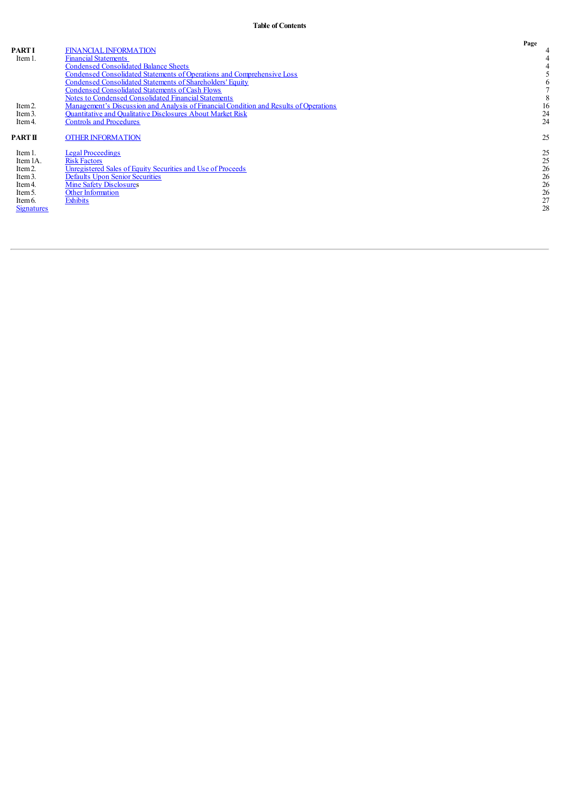|                   |                                                                                       | Page |
|-------------------|---------------------------------------------------------------------------------------|------|
| <b>PARTI</b>      | <b>FINANCIAL INFORMATION</b>                                                          |      |
| Item 1.           | <b>Financial Statements</b>                                                           |      |
|                   | <b>Condensed Consolidated Balance Sheets</b>                                          |      |
|                   | Condensed Consolidated Statements of Operations and Comprehensive Loss                |      |
|                   | <b>Condensed Consolidated Statements of Shareholders' Equity</b>                      |      |
|                   | Condensed Consolidated Statements of Cash Flows                                       |      |
|                   | <b>Notes to Condensed Consolidated Financial Statements</b>                           |      |
| Item 2.           | Management's Discussion and Analysis of Financial Condition and Results of Operations | 16   |
| Item 3.           | <b>Quantitative and Qualitative Disclosures About Market Risk</b>                     | 24   |
| Item 4.           | <b>Controls and Procedures</b>                                                        | 24   |
| <b>PART II</b>    | <b>OTHER INFORMATION</b>                                                              | 25   |
| Item 1.           | <b>Legal Proceedings</b>                                                              | 25   |
| Item 1A.          | <b>Risk Factors</b>                                                                   | 25   |
| Item 2.           | Unregistered Sales of Equity Securities and Use of Proceeds                           | 26   |
| Item 3.           | <b>Defaults Upon Senior Securities</b>                                                | 26   |
| Item 4.           | <b>Mine Safety Disclosures</b>                                                        | 26   |
| Item 5.           | <b>Other Information</b>                                                              | 26   |
| Item 6.           | <b>Exhibits</b>                                                                       | 27   |
| <b>Signatures</b> |                                                                                       | 28   |
|                   |                                                                                       |      |

**P**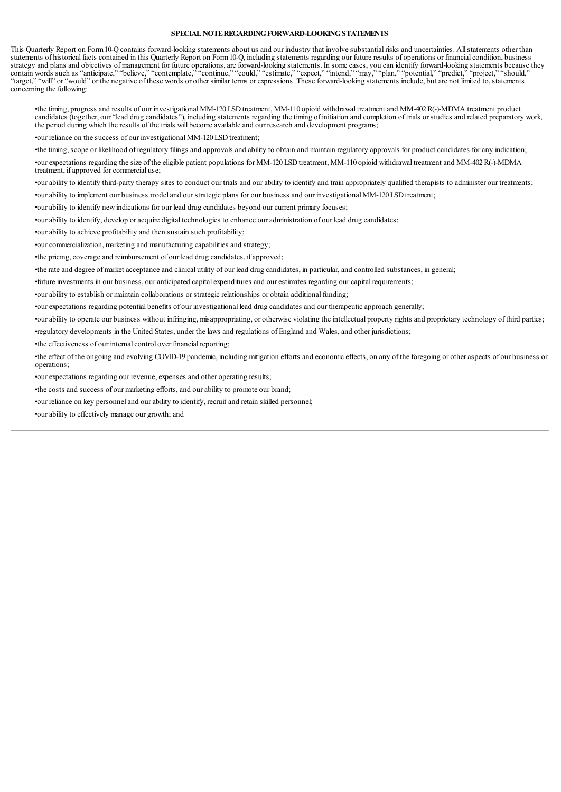### **SPECIALNOTEREGARDINGFORWARD-LOOKINGSTATEMENTS**

This Quarterly Report on Form10-Qcontains forward-looking statements about us and our industry that involve substantial risks and uncertainties. Allstatements other than statements of historical facts contained in this Quarterly Report on Form 10-Q, including statements regarding our future results of operations or financial condition, business strategy and plans and objectives of management for future operations, are forward-looking statements. In some cases, you can identify forward-looking statements because they contain words such as "anticipate," "believe," "contemplate," "continue," "could," "estimate," "expect," "intend," "may," "plan," "potential," "predict," "should," "should," "target," "will" or"would" or the negative of these words or othersimilar terms orexpressions. These forward-looking statements include, but are not limited to, statements concerning the following:

•the timing, progress and results of our investigational MM-120 LSD treatment, MM-110 opioid withdrawal treatment and MM-402 R(-)-MDMA treatment product candidates (together, our"lead drug candidates"), including statements regarding the timing of initiation and completion of trials orstudies and related preparatory work, the period during which the results of the trials will become available and our research and development programs;

•our reliance on the success of our investigational MM-120 LSD treatment;

•the timing, scope or likelihood of regulatory filings and approvals and ability to obtain and maintain regulatory approvals for product candidates forany indication;

•ourexpectations regarding the size of the eligible patient populations for MM-120 LSDtreatment, MM-110 opioid withdrawal treatment and MM-402 R(-)-MDMA treatment, if approved for commercial use;

•ourability to identify third-party therapy sites to conduct our trials and ourability to identify and train appropriately qualified therapists to administer our treatments;

•ourability to implement our business modeland ourstrategic plans for our business and our investigationalMM-120 LSDtreatment;

•ourability to identify newindications for our lead drug candidates beyond ourcurrent primary focuses;

•ourability to identify, develop oracquire digital technologies to enhance ouradministration of our lead drug candidates;

•ourability to achieve profitability and then sustain such profitability;

•ourcommercialization, marketing and manufacturing capabilities and strategy;

•the pricing, coverage and reimbursement of our lead drug candidates, if approved;

•the rate and degree ofmarket acceptance and clinical utility of our lead drug candidates, in particular,and controlled substances, in general;

•future investments in our business, ouranticipated capitalexpenditures and ourestimates regarding ourcapital requirements;

•ourability to establish ormaintain collaborations orstrategic relationships or obtain additional funding;

•ourexpectations regarding potential benefits of our investigational lead drug candidates and our therapeutic approach generally;

•ourability to operate our business without infringing, misappropriating, or otherwise violating the intellectual property rights and proprietary technology of third parties; •regulatory developments in the United States, under the laws and regulations of England and Wales,and other jurisdictions;

•the effectiveness of our internalcontrol over financial reporting;

•the effect of the ongoing and evolving COVID-19 pandemic, including mitigation efforts and economic effects, on any of the foregoing or otheraspects of our business or operations;

•our expectations regarding our revenue, expenses and other operating results;

•the costs and success of ourmarketing efforts,and ourability to promote our brand;

•our reliance on key personneland ourability to identify, recruit and retain skilled personnel;

•ourability to effectively manage our growth; and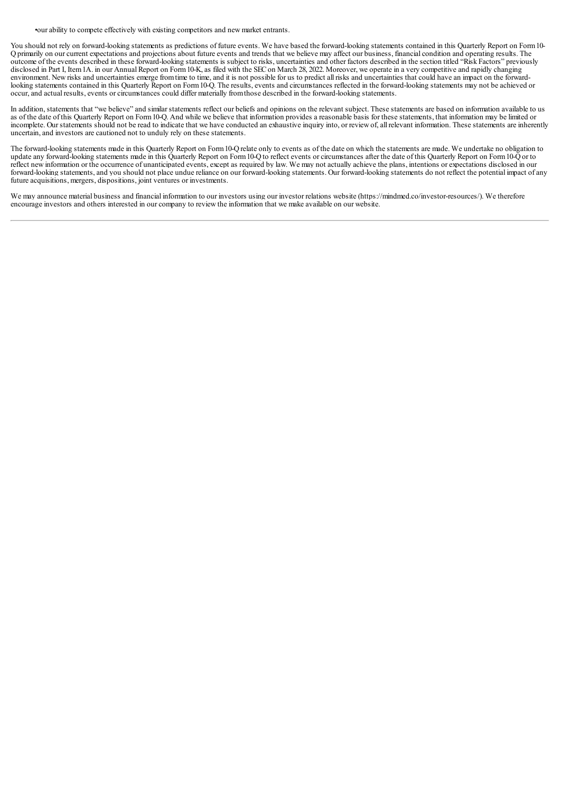### •ourability to compete effectively with existing competitors and newmarket entrants.

You should not rely on forward-looking statements as predictions of future events. We have based the forward-looking statements contained in this Quarterly Report on Form10- Qprimarily on ourcurrent expectations and projections about future events and trends that we believe may affect our business, financialcondition and operating results. The outcome of the events described in these forward-looking statements is subject to risks, uncertainties and other factors described in the section titled "Risk Factors" previously disclosed in Part I, Item1A. in our Annual Report on Form10-K,as filed with the SECon March 28, 2022. Moreover, we operate in a very competitive and rapidly changing environment. New risks and uncertainties emerge from time to time, and it is not possible for us to predict all risks and uncertainties that could have an impact on the forwardlooking statements contained in this Quarterly Report on Form 10-Q. The results, events and circumstances reflected in the forward-looking statements may not be achieved or occur, and actual results, events or circumstances could differ materially from those described in the forward-looking statements.

In addition, statements that "we believe" and similar statements reflect our beliefs and opinions on the relevant subject. These statements are based on information available to us as of the date of this Quarterly Report on Form10-Q. And while we believe that information provides a reasonable basis for these statements, that information may be limited or incomplete. Ourstatements should not be read to indicate that we have conducted an exhaustive inquiry into, or reviewof,all relevant information. These statements are inherently uncertain, and investors are cautioned not to unduly rely on these statements.

The forward-looking statements made in this Quarterly Report on Form10-Qrelate only to events as of the date on which the statements are made. We undertake no obligation to update any forward-looking statements made in this Quarterly Report on Form10-Qto reflect events orcircumstances after the date of this Quarterly Report on Form10-Qor to reflect new information or the occurrence of unanticipated events, except as required by law. We may not actually achieve the plans, intentions or expectations disclosed in our forward-looking statements,and you should not place undue reliance on our forward-looking statements. Our forward-looking statements do not reflect the potential impact ofany future acquisitions, mergers, dispositions, joint ventures or investments.

We may announce material business and financial information to our investors using our investor relations website (https://mindmed.co/investor-resources/). We therefore encourage investors and others interested in ourcompany to reviewthe information that we make available on our website.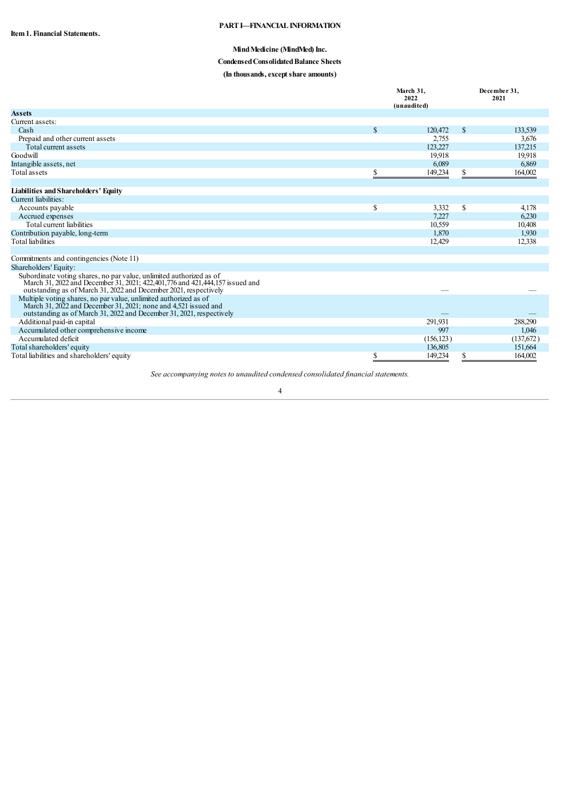# **PARTI—FINANCIALINFORMATION**

# **MindMedicine (MindMed)Inc.**

# **CondensedConsolidatedBalance Sheets**

# **(In thousands,exceptshare amounts)**

<span id="page-4-2"></span><span id="page-4-1"></span><span id="page-4-0"></span>

|                                                                                                                                                                                                                             |               | March 31.<br>2022<br>(unaudited) |    | December 31,<br>2021 |
|-----------------------------------------------------------------------------------------------------------------------------------------------------------------------------------------------------------------------------|---------------|----------------------------------|----|----------------------|
| <b>Assets</b>                                                                                                                                                                                                               |               |                                  |    |                      |
| Current assets:                                                                                                                                                                                                             |               |                                  |    |                      |
| Cash                                                                                                                                                                                                                        | <sup>\$</sup> | 120,472                          | \$ | 133,539              |
| Prepaid and other current assets                                                                                                                                                                                            |               | 2,755                            |    | 3,676                |
| Total current assets                                                                                                                                                                                                        |               | 123,227                          |    | 137,215              |
| Goodwill                                                                                                                                                                                                                    |               | 19,918                           |    | 19,918               |
| Intangible assets, net                                                                                                                                                                                                      |               | 6,089                            |    | 6,869                |
| Total assets                                                                                                                                                                                                                | -S            | 149,234                          | S  | 164,002              |
| <b>Liabilities and Shareholders' Equity</b>                                                                                                                                                                                 |               |                                  |    |                      |
| Current liabilities:                                                                                                                                                                                                        |               |                                  |    |                      |
| Accounts payable                                                                                                                                                                                                            | \$            | 3,332                            | \$ | 4,178                |
| Accrued expenses                                                                                                                                                                                                            |               | 7,227                            |    | 6,230                |
| Total current liabilities                                                                                                                                                                                                   |               | 10.559                           |    | 10.408               |
| Contribution payable, long-term                                                                                                                                                                                             |               | 1,870                            |    | 1,930                |
| <b>Total liabilities</b>                                                                                                                                                                                                    |               | 12,429                           |    | 12,338               |
|                                                                                                                                                                                                                             |               |                                  |    |                      |
| Commitments and contingencies (Note 11)                                                                                                                                                                                     |               |                                  |    |                      |
| Shareholders' Equity:                                                                                                                                                                                                       |               |                                  |    |                      |
| Subordinate voting shares, no par value, unlimited authorized as of<br>March 31, 2022 and December 31, 2021; 422, 401, 776 and 421, 444, 157 issued and<br>outstanding as of March 31, 2022 and December 2021, respectively |               |                                  |    |                      |
| Multiple voting shares, no par value, unlimited authorized as of<br>March 31, 2022 and December 31, 2021; none and 4,521 issued and<br>outstanding as of March 31, 2022 and December 31, 2021, respectively                 |               |                                  |    |                      |
| Additional paid-in capital                                                                                                                                                                                                  |               | 291,931                          |    | 288,290              |
| Accumulated other comprehensive income                                                                                                                                                                                      |               | 997                              |    | 1.046                |
| Accumulated deficit                                                                                                                                                                                                         |               | (156, 123)                       |    | (137,672)            |
| Total shareholders' equity                                                                                                                                                                                                  |               | 136,805                          |    | 151,664              |
| Total liabilities and shareholders' equity                                                                                                                                                                                  | \$            | 149.234                          | \$ | 164,002              |

*See accompanying notes to unaudited condensed consolidated financial statements.*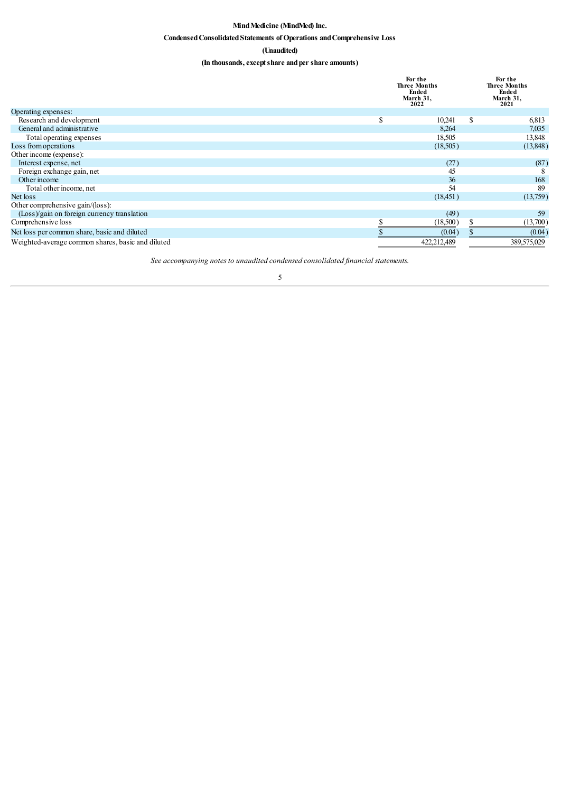# **MindMedicine (MindMed)Inc.**

**CondensedConsolidatedStatements ofOperations andComprehensive Loss**

# **(Unaudited)**

**(In thousands,exceptshare andper share amounts)**

|                                                   | For the<br><b>Three Months</b><br>Ended<br>March 31,<br>2022 |             | For the<br><b>Three Months</b><br>Ended<br>March 31,<br>2021 |
|---------------------------------------------------|--------------------------------------------------------------|-------------|--------------------------------------------------------------|
| Operating expenses:                               |                                                              |             |                                                              |
| Research and development                          | S                                                            | 10.241      | \$<br>6,813                                                  |
| General and administrative                        |                                                              | 8,264       | 7,035                                                        |
| Total operating expenses                          |                                                              | 18,505      | 13,848                                                       |
| Loss from operations                              |                                                              | (18,505)    | (13, 848)                                                    |
| Other income (expense):                           |                                                              |             |                                                              |
| Interest expense, net                             |                                                              | (27)        | (87)                                                         |
| Foreign exchange gain, net                        |                                                              | 45          |                                                              |
| Other income                                      |                                                              | 36          | 168                                                          |
| Total other income, net                           |                                                              | 54          | 89                                                           |
| Net loss                                          |                                                              | (18, 451)   | (13,759)                                                     |
| Other comprehensive gain/(loss):                  |                                                              |             |                                                              |
| (Loss)/gain on foreign currency translation       |                                                              | (49)        | 59                                                           |
| Comprehensive loss                                |                                                              | (18,500)    | (13,700)                                                     |
| Net loss per common share, basic and diluted      |                                                              | (0.04)      | (0.04)                                                       |
| Weighted-average common shares, basic and diluted |                                                              | 422,212,489 | 389,575,029                                                  |

*See accompanying notes to unaudited condensed consolidated financial statements.*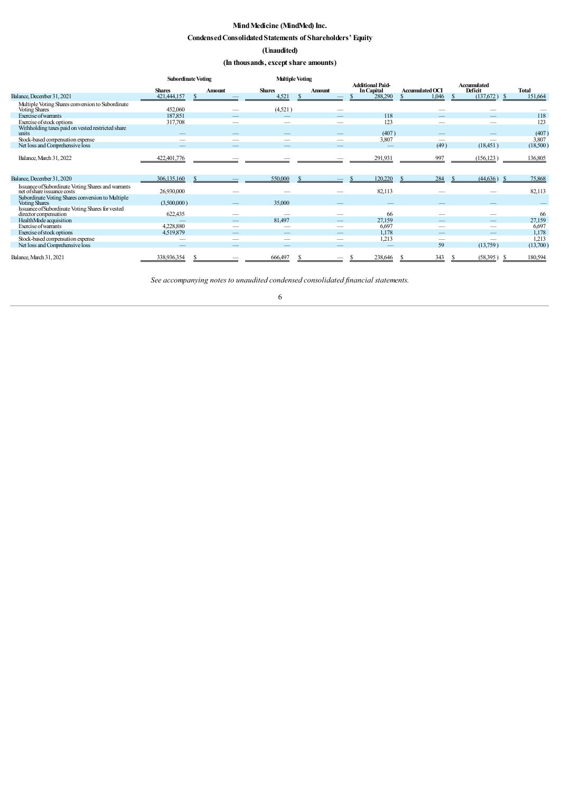# **MindMedicine (MindMed)Inc. CondensedConsolidatedStatements of Shareholders' Equity (Unaudited)**

**(In thousands,exceptshare amounts)**

<span id="page-6-0"></span>

|                                                                                   | <b>Subordinate Voting</b> |        | <b>Multiple Voting</b> |  |        |                                       |                        |                        |               |
|-----------------------------------------------------------------------------------|---------------------------|--------|------------------------|--|--------|---------------------------------------|------------------------|------------------------|---------------|
|                                                                                   | <b>Shares</b>             | Amount | <b>Shares</b>          |  | Amount | <b>Additional Paid-</b><br>In Capital | <b>Accumulated OCI</b> | Accumulated<br>Deficit | <b>Total</b>  |
| Balance, December 31, 2021                                                        | 421,444,157               |        | 4,521                  |  |        | 288,290                               | 1,046                  | (137,672)              | 151,664       |
| Multiple Voting Shares conversion to Subordinate<br>Voting Shares                 | 452,060                   |        | (4,521)                |  |        |                                       |                        |                        |               |
| Exercise of warrants                                                              | 187,851                   |        |                        |  |        | 118                                   |                        |                        | 118           |
| Exercise of stock options                                                         | 317,708                   |        |                        |  |        | 123                                   |                        |                        | 123           |
| Withholding taxes paid on vested restricted share<br>units                        |                           |        |                        |  |        | (407)                                 |                        |                        | (407)         |
| Stock-based compensation expense                                                  |                           | __     | __                     |  |        | 3,807                                 | __                     | __                     | 3,807         |
| Net loss and Comprehensive loss                                                   |                           |        |                        |  |        |                                       | (49)                   | (18, 451)              | (18,500)      |
| Balance, March 31, 2022                                                           | 422, 401, 776             |        |                        |  |        | 291,931                               | 997                    | (156, 123)             | 136,805       |
| Balance, December 31, 2020                                                        | 306,135,160               |        | 550,000                |  |        | 120,220                               | 284                    | (44, 636)              | 75,868        |
| Issuance of Subordinate Voting Shares and warrants<br>net of share issuance costs | 26,930,000                |        |                        |  |        | 82,113                                |                        |                        | 82,113        |
| Subordinate Voting Shares conversion to Multiple<br><b>Voting Shares</b>          | (3,500,000)               |        | 35,000                 |  |        |                                       |                        |                        |               |
| Issuance of Subordinate Voting Shares for vested<br>director compensation         | 622,435                   |        |                        |  |        | 66                                    |                        |                        | 66            |
| HealthMode acquisition                                                            |                           |        | 81,497                 |  |        | 27,159                                |                        |                        | 27,159        |
| Exercise of warrants                                                              | 4,228,880                 |        | $\sim$                 |  |        | 6,697                                 |                        |                        | 6,697         |
| Exercise of stock options                                                         | 4,519,879                 |        |                        |  |        | 1,178                                 |                        |                        | 1,178         |
| Stock-based compensation expense                                                  |                           | __     | __                     |  |        | 1,213                                 |                        | --                     | 1,213         |
| Net loss and Comprehensive loss                                                   |                           |        |                        |  |        |                                       | 59                     | (13,759)               | (13,700)      |
| Balance, March 31, 2021                                                           | 338,936,354               |        | 666,497                |  |        | 238,646                               | 343                    | (58,395)<br>- 5        | 180,594<br>-S |

*See accompanying notes to unaudited condensed consolidated financial statements.*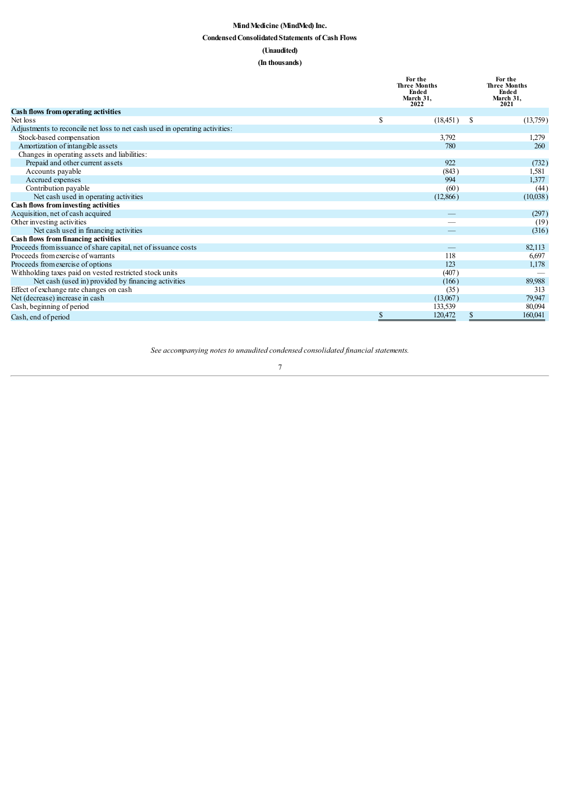# **MindMedicine (MindMed)Inc. CondensedConsolidatedStatements of Cash Flows (Unaudited) (In thousands)**

|                                                                             | For the<br><b>Three Months</b><br>Ended<br>March 31.<br>2022 |    | For the<br><b>Three Months</b><br>Ended<br>March 31.<br>2021 |
|-----------------------------------------------------------------------------|--------------------------------------------------------------|----|--------------------------------------------------------------|
| Cash flows from operating activities                                        |                                                              |    |                                                              |
| Net loss                                                                    | \$<br>(18, 451)                                              | S. | (13,759)                                                     |
| Adjustments to reconcile net loss to net cash used in operating activities: |                                                              |    |                                                              |
| Stock-based compensation                                                    | 3,792                                                        |    | 1,279                                                        |
| Amortization of intangible assets                                           | 780                                                          |    | 260                                                          |
| Changes in operating assets and liabilities:                                |                                                              |    |                                                              |
| Prepaid and other current assets                                            | 922                                                          |    | (732)                                                        |
| Accounts payable                                                            | (843)                                                        |    | 1,581                                                        |
| Accrued expenses                                                            | 994                                                          |    | 1,377                                                        |
| Contribution payable                                                        | (60)                                                         |    | (44)                                                         |
| Net cash used in operating activities                                       | (12,866)                                                     |    | (10,038)                                                     |
| Cash flows from investing activities                                        |                                                              |    |                                                              |
| Acquisition, net of cash acquired                                           |                                                              |    | (297)                                                        |
| Other investing activities                                                  |                                                              |    | (19)                                                         |
| Net cash used in financing activities                                       |                                                              |    | (316)                                                        |
| Cash flows from financing activities                                        |                                                              |    |                                                              |
| Proceeds from issuance of share capital, net of issuance costs              |                                                              |    | 82,113                                                       |
| Proceeds from exercise of warrants                                          | 118                                                          |    | 6,697                                                        |
| Proceeds from exercise of options                                           | 123                                                          |    | 1,178                                                        |
| Withholding taxes paid on vested restricted stock units                     | (407)                                                        |    |                                                              |
| Net cash (used in) provided by financing activities                         | (166)                                                        |    | 89,988                                                       |
| Effect of exchange rate changes on cash                                     | (35)                                                         |    | 313                                                          |
| Net (decrease) increase in cash                                             | (13,067)                                                     |    | 79,947                                                       |
| Cash, beginning of period                                                   | 133,539                                                      |    | 80,094                                                       |
| Cash, end of period                                                         | 120,472                                                      | S. | 160,041                                                      |

*See accompanying notes to unaudited condensed consolidated financial statements.*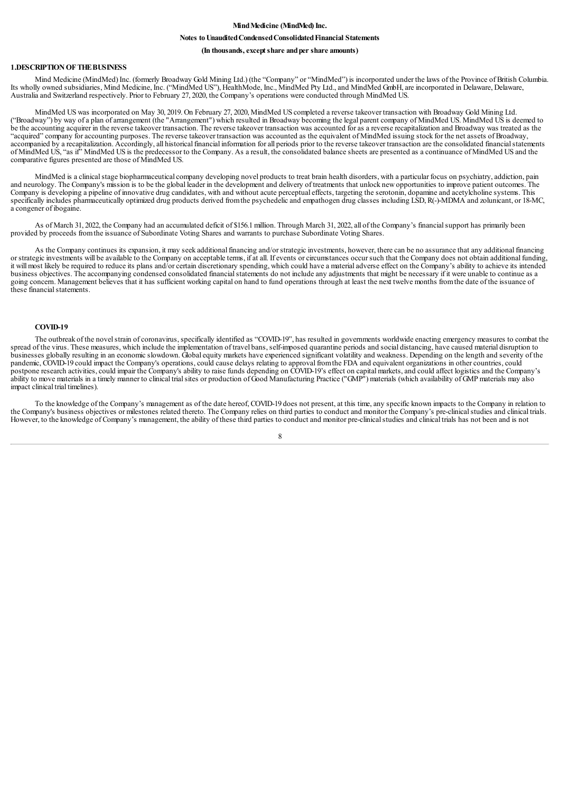# **MindMedicine (MindMed)Inc. Notes to Unaudited Condensed Consolidated Financial Statements**

## **(In thousands,exceptshare andper share amounts)**

# <span id="page-8-0"></span>**1.DESCRIPTIONOFTHEBUSINESS**

Mind Medicine (MindMed) Inc. (formerly Broadway Gold Mining Ltd.) (the "Company" or"MindMed") is incorporated under the laws of the Province of British Columbia. Its wholly owned subsidiaries, Mind Medicine, Inc. ("MindMed US"), HealthMode, Inc., MindMed Pty Ltd.,and MindMed GmbH,are incorporated in Delaware, Delaware, Australia and Switzerland respectively. Prior to February 27, 2020, the Company's operations were conducted through MindMed US.

MindMed US was incorporated on May 30, 2019. On February 27, 2020, MindMed US completed a reverse takeover transaction with Broadway Gold Mining Ltd. ("Broadway") by way ofa plan ofarrangement (the "Arrangement") which resulted in Broadway becoming the legal parent company of MindMed US. MindMed US is deemed to be the accounting acquirer in the reverse takeover transaction. The reverse takeover transaction was accounted foras a reverse recapitalization and Broadway was treated as the "acquired" company foraccounting purposes. The reverse takeover transaction was accounted as the equivalent of MindMed issuing stock for the net assets of Broadway, accompanied by a recapitalization. Accordingly, all historical financial information for all periods prior to the reverse takeover transaction are the consolidated financial statements of MindMed US,"as if" MindMed US is the predecessor to the Company. As a result, the consolidated balance sheets are presented as a continuance of MindMed US and the comparative figures presented are those of MindMed US.

MindMed is a clinical stage biopharmaceutical company developing novel products to treat brain health disorders, with a particular focus on psychiatry, addiction, pain and neurology. The Company's mission is to be the global leader in the development and delivery of treatments that unlock new opportunities to improve patient outcomes. The Company is developing a pipeline of innovative drug candidates, with and without acute perceptualeffects, targeting the serotonin, dopamine and acetylcholine systems. This specifically includes pharmaceutically optimized drug products derived from the psychedelic and empathogen drug classes including LSD, R(-)-MDMA and zolunicant, or 18-MC, a congener of ibogaine.

As of March 31, 2022, the Company had an accumulated deficit of \$156.1 million. Through March 31, 2022, all of the Company's financial support has primarily been provided by proceeds fromthe issuance of Subordinate Voting Shares and warrants to purchase Subordinate Voting Shares.

As the Company continues its expansion, it may seek additional financing and/orstrategic investments, however, there can be no assurance that any additional financing orstrategic investments will be available to the Company on acceptable terms, ifat all. Ifevents orcircumstances occursuch that the Company does not obtain additional funding, it will most likely be required to reduce its plans and/or certain discretionary spending, which could have a material adverse effect on the Company's ability to achieve its intended business objectives. The accompanying condensed consolidated financial statements do not include any adjustments that might be necessary if it were unable to continue as a going concern. Management believes that it has sufficient working capital on hand to fund operations through at least the next twelve months from the date of the issuance of these financial statements.

# **COVID-19**

The outbreak of the novelstrain ofcoronavirus, specifically identified as "COVID-19", has resulted in governments worldwide enacting emergency measures to combat the spread of the virus. These measures, which include the implementation of travel bans, self-imposed quarantine periods and social distancing, have caused material disruption to businesses globally resulting in an economic slowdown. Globalequity markets have experienced significant volatility and weakness. Depending on the length and severity of the pandemic, COVID-19 could impact the Company's operations, could cause delays relating to approval from the FDA and equivalent organizations in other countries, could postpone research activities, could impair the Company's ability to raise funds depending on COVID-19's effect on capital markets, and could affect logistics and the Company's ability to move materials in a timely manner to clinical trial sites or production of Good Manufacturing Practice ("GMP") materials (which availability of GMP materials may also impact clinical trial timelines).

To the knowledge of the Company's management as of the date hereof, COVID-19 does not present, at this time, any specific known impacts to the Company in relation to the Company's business objectives ormilestones related thereto. The Company relies on third parties to conduct and monitor the Company's pre-clinicalstudies and clinical trials. However, to the knowledge of Company's management, the ability of these third parties to conduct and monitor pre-clinical studies and clinical trials has not been and is not

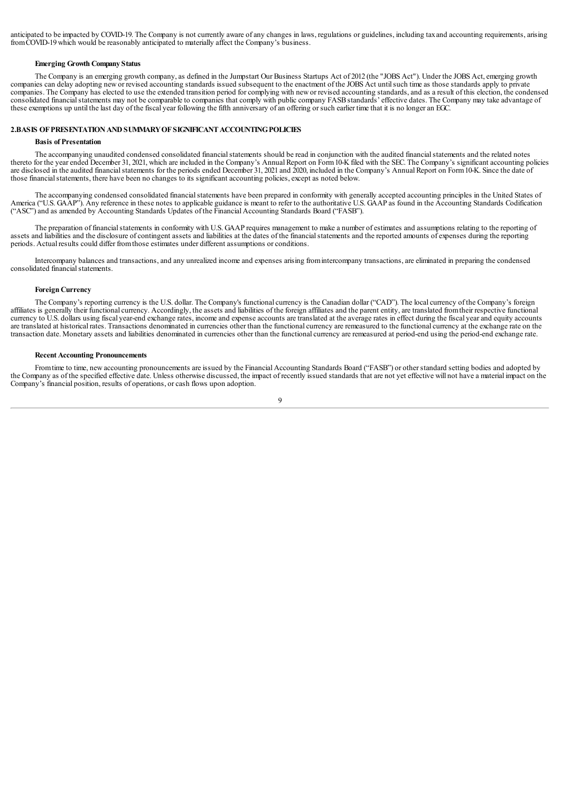anticipated to be impacted by COVID-19. The Company is not currently aware of any changes in laws, regulations or guidelines, including taxand accounting requirements, arising from COVID-19 which would be reasonably anticipated to materially affect the Company's business.

## **Emerging Growth Company Status**

The Company is an emerging growth company, as defined in the Jumpstart Our Business Startups Act of 2012 (the "JOBS Act"). Under the JOBS Act, emerging growth companies can delay adopting newor revised accounting standards issued subsequent to the enactment of the JOBS Act untilsuch time as those standards apply to private companies. The Company has elected to use the extended transition period forcomplying with newor revised accounting standards,and as a result of this election, the condensed consolidated financial statements may not be comparable to companies that comply with public company FASB standards' effective dates. The Company may take advantage of these exemptions up until the last day of the fiscal year following the fifth anniversary ofan offering orsuch earlier time that it is no longeran EGC.

# **2.BASIS OFPRESENTATIONANDSUMMARYOFSIGNIFICANTACCOUNTINGPOLICIES**

#### **Basis of Presentation**

The accompanying unaudited condensed consolidated financial statements should be read in conjunction with the audited financial statements and the related notes thereto for the year ended December 31, 2021, which are included in the Company's Annual Report on Form 10-K filed with the SEC. The Company's significant accounting policies are disclosed in the audited financial statements for the periods ended December 31, 2021 and 2020, included in the Company's Annual Report on Form 10-K. Since the date of those financial statements, there have been no changes to its significant accounting policies, except as noted below.

The accompanying condensed consolidated financialstatements have been prepared in conformity with generally accepted accounting principles in the United States of America ("U.S. GAAP"). Any reference in these notes to applicable guidance is meant to refer to the authoritative U.S. GAAP as found in the Accounting Standards Codification ("ASC") and as amended by Accounting Standards Updates of the Financial Accounting Standards Board ("FASB").

The preparation of financial statements in conformity with U.S. GAAP requires management to make a number of estimates and assumptions relating to the reporting of assets and liabilities and the disclosure ofcontingent assets and liabilities at the dates of the financialstatements and the reported amounts ofexpenses during the reporting periods. Actual results could differ fromthose estimates under different assumptions orconditions.

Intercompany balances and transactions, and any unrealized income and expenses arising from intercompany transactions, are eliminated in preparing the condensed consolidated financial statements.

#### **Foreign Currency**

The Company's reporting currency is the U.S. dollar. The Company's functional currency is the Canadian dollar ("CAD"). The local currency of the Company's foreign affiliates is generally their functional currency. Accordingly, the assets and liabilities of the foreign affiliates and the parent entity, are translated from their respective functional currency to U.S. dollars using fiscal year-end exchange rates, income and expense accounts are translated at the average rates in effect during the fiscal yearand equity accounts are translated at historical rates. Transactions denominated in currencies other than the functional currency are remeasured to the functional currency at the exchange rate on the transaction date. Monetary assets and liabilities denominated in currencies other than the functionalcurrency are remeasured at period-end using the period-end exchange rate.

### **Recent Accounting Pronouncements**

From time to time, new accounting pronouncements are issued by the Financial Accounting Standards Board ("FASB") or other standard setting bodies and adopted by the Company as of the specified effective date. Unless otherwise discussed, the impact of recently issued standards that are not yet effective will not have a material impact on the Company's financial position, results of operations, orcash flows upon adoption.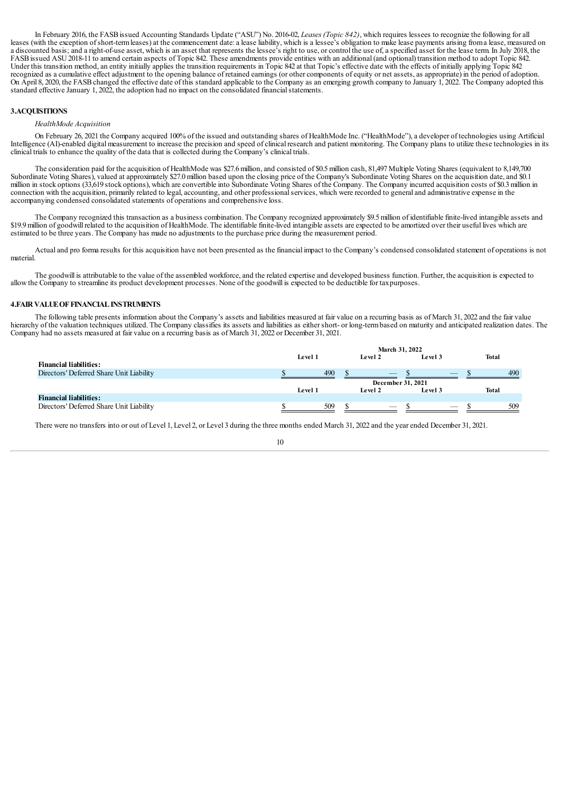In February 2016, the FASBissued Accounting Standards Update ("ASU") No. 2016-02, *Leases (Topic 842)*, which requires lessees to recognize the following forall leases (with the exception of short-termleases) at the commencement date: a lease liability, which is a lessee's obligation to make lease payments arising from a lease, measured on a discounted basis; and a right-of-use asset, which is an asset that represents the lessee's right to use, or control the use of, a specified asset for the lease term. In July 2018, the FASBissued ASU2018-11 to amend certain aspects of Topic 842. These amendments provide entities with an additional (and optional) transition method to adopt Topic 842. Under this transition method, an entity initially applies the transition requirements in Topic 842 at that Topic's effective date with the effects of initially applying Topic 842 recognized as a cumulative effect adjustment to the opening balance of retained earnings (or other components of equity or net assets, as appropriate) in the period of adoption. On April 8, 2020, the FASBchanged the effective date of this standard applicable to the Company as an emerging growth company to January 1, 2022. The Company adopted this standard effective January 1, 2022, the adoption had no impact on the consolidated financial statements.

# **3.ACQUISITIONS**

#### *HealthMode Acquisition*

On February 26, 2021 the Company acquired 100% of the issued and outstanding shares of HealthMode Inc. ("HealthMode"),a developer of technologies using Artificial Intelligence (AI)-enabled digital measurement to increase the precision and speed of clinical research and patient monitoring. The Company plans to utilize these technologies in its clinical trials to enhance the quality of the data that is collected during the Company's clinical trials.

The consideration paid for the acquisition of HealthMode was \$27.6million,and consisted of \$0.5million cash, 81,497Multiple Voting Shares (equivalent to 8,149,700 Subordinate Voting Shares), valued at approximately \$27.0 million based upon the closing price of the Company's Subordinate Voting Shares on the acquisition date, and \$0.1 million in stock options (33,619 stock options), which are convertible into Subordinate Voting Shares of the Company. The Company incurred acquisition costs of \$0.3million in connection with the acquisition, primarily related to legal, accounting, and other professional services, which were recorded to general and administrative expense in the accompanying condensed consolidated statements of operations and comprehensive loss.

The Company recognized this transaction as a business combination. The Company recognized approximately \$9.5million of identifiable finite-lived intangible assets and \$19.9 million of goodwill related to the acquisition of HealthMode. The identifiable finite-lived intangible assets are expected to be amortized over their useful lives which are estimated to be three years. The Company has made no adjustments to the purchase price during the measurement period.

Actualand pro forma results for this acquisition have not been presented as the financial impact to the Company's condensed consolidated statement of operations is not material.

The goodwill is attributable to the value of the assembled workforce, and the related expertise and developed business function. Further, the acquisition is expected to allowthe Company to streamline its product development processes. None of the goodwill is expected to be deductible for taxpurposes.

# **4.FAIRVALUEOFFINANCIALINSTRUMENTS**

The following table presents information about the Company's assets and liabilities measured at fair value on a recurring basis as of March 31, 2022 and the fair value hierarchy of the valuation techniques utilized. The Company classifies its assets and liabilities as either short- or long-term based on maturity and anticipated realization dates. The Company had no assets measured at fair value on a recurring basis as of March 31, 2022 or December 31, 2021.

|                                          | March 31, 2022 |         |  |                          |         |                          |  |              |
|------------------------------------------|----------------|---------|--|--------------------------|---------|--------------------------|--|--------------|
|                                          |                | Level 1 |  | Level 2                  | Level 3 |                          |  | <b>Total</b> |
| <b>Financial liabilities:</b>            |                |         |  |                          |         |                          |  |              |
| Directors' Deferred Share Unit Liability |                | 490     |  |                          |         |                          |  | 490          |
|                                          |                |         |  | December 31, 2021        |         |                          |  |              |
|                                          |                | Level 1 |  | Level 2                  | Level 3 |                          |  | <b>Total</b> |
| <b>Financial liabilities:</b>            |                |         |  |                          |         |                          |  |              |
| Directors' Deferred Share Unit Liability |                | 509     |  | $\overline{\phantom{a}}$ |         | $\overline{\phantom{a}}$ |  | 509          |
|                                          |                |         |  |                          |         |                          |  |              |

There were no transfers into or out of Level 1, Level 2, or Level 3 during the three months ended March 31, 2022 and the yearended December 31, 2021.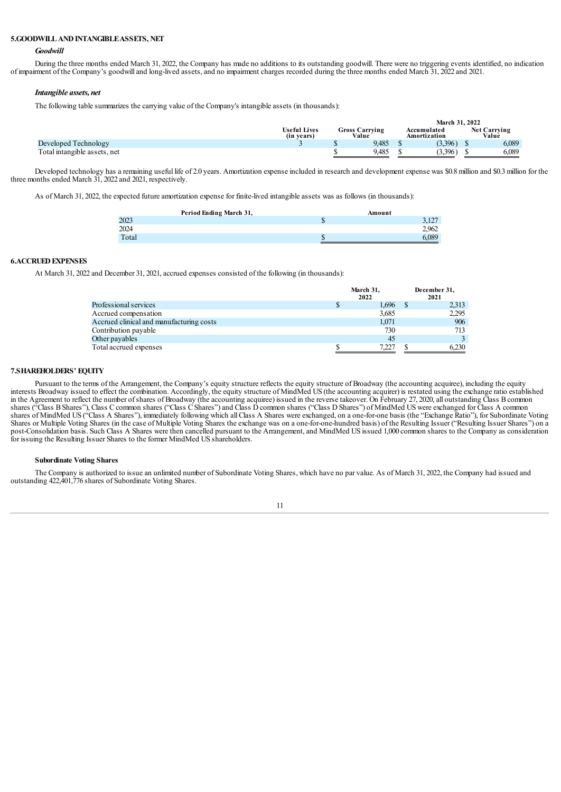# **5.GOODWILLANDINTANGIBLEASSETS, NET**

# *Goodwill*

During the three months ended March 31, 2022, the Company has made no additions to its outstanding goodwill. There were no triggering events identified, no indication of impairment of the Company's goodwill and long-lived assets, and no impairment charges recorded during the three months ended March 31, 2022 and 2021.

## *Intangible assets, net*

The following table summarizes the carrying value of the Company's intangible assets (in thousands):

|                              |                            |                                | March 31, 2022 |                             |  |                              |  |
|------------------------------|----------------------------|--------------------------------|----------------|-----------------------------|--|------------------------------|--|
|                              | Useful Lives<br>(in years) | <b>Gross Carrying</b><br>Value |                | Accumulated<br>Amortization |  | <b>Net Carrying</b><br>Value |  |
| Developed Technology         |                            | 9.485                          |                | (3,396)                     |  | 6,089                        |  |
| Total intangible assets, net |                            | 9,485                          |                | (3,396)                     |  | 6.089                        |  |

Developed technology has a remaining useful life of 2.0 years. Amortization expense included in research and development expense was \$0.8 million and \$0.3 million for the three months ended March 31, 2022 and 2021, respectively.

As of March 31, 2022, the expected future amortization expense for finite-lived intangible assets was as follows (in thousands):

|       | Period Ending March 31, | Amount       |
|-------|-------------------------|--------------|
| 2023  |                         | າ 107        |
| 2024  |                         | 2.962        |
| Total |                         | <b>0.089</b> |

# **6.ACCRUED EXPENSES**

At March 31, 2022 and December 31, 2021, accrued expenses consisted of the following (in thousands):

|                                          | March 31,<br>2022 | December 31,<br>2021 |
|------------------------------------------|-------------------|----------------------|
| Professional services                    | 1,696             | 2,313                |
| Accrued compensation                     | 3,685             | 2.295                |
| Accrued clinical and manufacturing costs | 1.071             | 906                  |
| Contribution payable                     | 730               | 713                  |
| Other payables                           | 45                |                      |
| Total accrued expenses                   | 7.227             | 6.230                |

# **7.SHAREHOLDERS' EQUITY**

Pursuant to the terms of the Arrangement, the Company's equity structure reflects the equity structure of Broadway (the accounting acquiree), including the equity interests Broadway issued to effect the combination. Accordingly, the equity structure of MindMed US (the accounting acquirer) is restated using the exchange ratio established in the Agreement to reflect the number ofshares of Broadway (the accounting acquiree) issued in the reverse takeover. On February 27, 2020,all outstanding Class Bcommon shares ("Class BShares"), Class Ccommon shares ("Class CShares")and Class Dcommon shares ("Class DShares") of MindMed US were exchanged for Class A common shares of MindMed US ("Class A Shares"), immediately following which all Class A Shares were exchanged, on a one-for-one basis (the "Exchange Ratio"), for Subordinate Voting Shares or Multiple Voting Shares (in the case of Multiple Voting Shares the exchange was on a one-for-one-hundred basis) of the Resulting Issuer ("Resulting Issuer Shares") on a post-Consolidation basis. Such Class A Shares were then cancelled pursuant to the Arrangement,and MindMed US issued 1,000 common shares to the Company as consideration for issuing the Resulting Issuer Shares to the former MindMed US shareholders.

# **Subordinate Voting Shares**

The Company is authorized to issue an unlimited number of Subordinate Voting Shares, which have no par value. As of March 31, 2022, the Company had issued and outstanding 422,401,776 shares of Subordinate Voting Shares.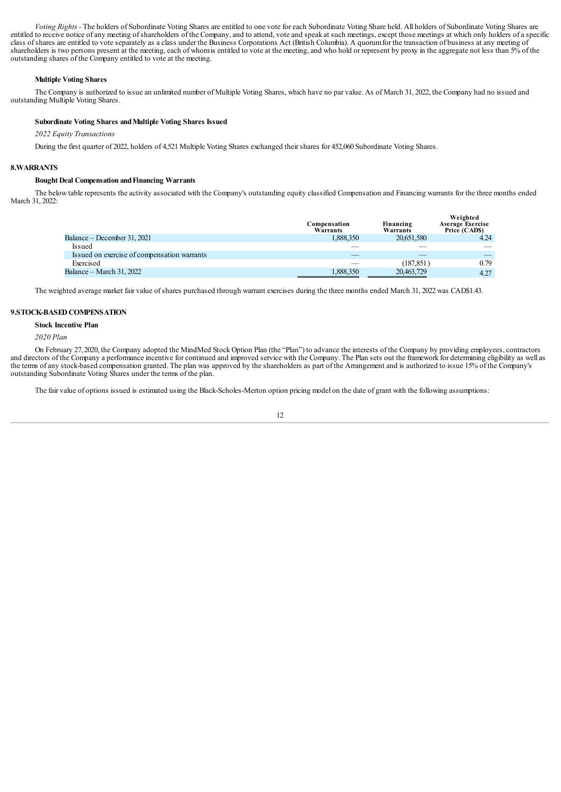*Voting Rights -* The holders of Subordinate Voting Shares are entitled to one vote foreach Subordinate Voting Share held. All holders of Subordinate Voting Shares are entitled to receive notice of any meeting of shareholders of the Company, and to attend, vote and speak at such meetings, except those meetings at which only holders of a specific class ofshares are entitled to vote separately as a class under the Business Corporations Act (British Columbia). A quorumfor the transaction of business at any meeting of shareholders is two persons present at the meeting, each of whomis entitled to vote at the meeting, and who hold or represent by proxy in the aggregate not less than 5% of the outstanding shares of the Company entitled to vote at the meeting.

# **Multiple Voting Shares**

The Company is authorized to issue an unlimited number of Multiple Voting Shares, which have no par value. As of March 31, 2022, the Company had no issued and outstanding Multiple Voting Shares.

# **Subordinate Voting Shares andMultiple Voting Shares Issued**

# *2022 Equity Transactions*

During the first quarter of 2022, holders of 4,521 Multiple Voting Shares exchanged their shares for 452,060 Subordinate Voting Shares.

# **8.WARRANTS**

# **Bought Deal Compensation andFinancing Warrants**

The belowtable represents the activity associated with the Company's outstanding equity classified Compensation and Financing warrants for the three months ended March 31, 2022:

|                                             | Compensation<br>Warrants | Financing<br>Warrants | Weighted<br><b>Average Exercise</b><br>Price (CADS) |
|---------------------------------------------|--------------------------|-----------------------|-----------------------------------------------------|
| Balance – December 31, 2021                 | 1.888.350                | 20.651.580            | 4.24                                                |
| Issued                                      |                          |                       |                                                     |
| Issued on exercise of compensation warrants |                          |                       |                                                     |
| Exercised                                   |                          | (187.851              | 0.79                                                |
| Balance – March 31, 2022                    | 1.888.350                | 20.463.729            | 4.27                                                |

The weighted average market fair value of shares purchased through warrant exercises during the three months ended March 31, 2022 was CAD\$1.43.

# **9.STOCK-BASEDCOMPENSATION**

# **Stock Incentive Plan**

*2020 Plan*

On February 27,2020, the Company adopted the MindMed StockOption Plan (the "Plan") to advance the interests of the Company by providing employees,contractors and directors of the Company a performance incentive forcontinued and improved service with the Company. The Plan sets out the framework for determining eligibility as wellas the terms ofany stock-based compensation granted. The plan was approved by the shareholders as part of the Arrangement and is authorized to issue 15% of the Company's outstanding Subordinate Voting Shares under the terms of the plan.

The fair value of options issued is estimated using the Black-Scholes-Merton option pricing model on the date of grant with the following assumptions: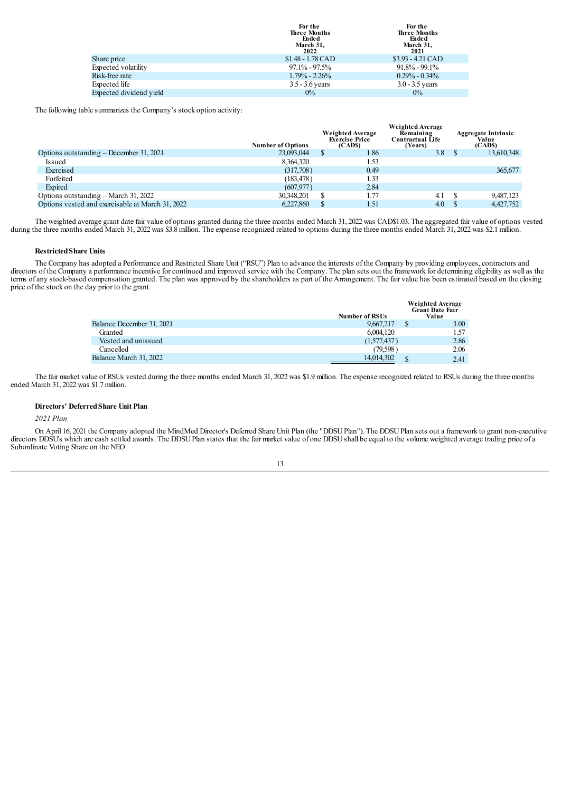|                         | For the<br><b>Three Months</b><br>Ended<br>March 31,<br>2022 | For the<br><b>Three Months</b><br>Ended<br>March 31,<br>2021 |
|-------------------------|--------------------------------------------------------------|--------------------------------------------------------------|
| Share price             | $$1.48 - 1.78$ CAD                                           | $$3.93 - 4.21$ CAD                                           |
| Expected volatility     | $97.1\% - 97.5\%$                                            | $91.8\% - 99.1\%$                                            |
| Risk-free rate          | $1.79\% - 2.26\%$                                            | $0.29\% - 0.34\%$                                            |
| Expected life           | $3.5 - 3.6$ years                                            | $3.0 - 3.5$ years                                            |
| Expected dividend yield | $0\%$                                                        | $0\%$                                                        |

The following table summarizes the Company's stock option activity:

|                                                  | <b>Number of Options</b> | Weighted Average<br><b>Exercise Price</b><br>(CAD\$) | <b>Weighted Average</b><br>Remaining<br><b>Contractual Life</b><br>(Years) | <b>Aggregate Intrinsic</b><br>Value<br>(CADS) |
|--------------------------------------------------|--------------------------|------------------------------------------------------|----------------------------------------------------------------------------|-----------------------------------------------|
| Options outstanding $-$ December 31, 2021        | 23,093,044               | 1.86                                                 | 3.8                                                                        | 13,610,348                                    |
| Issued                                           | 8.364.320                | 1.53                                                 |                                                                            |                                               |
| Exercised                                        | (317,708)                | 0.49                                                 |                                                                            | 365,677                                       |
| Forfeited                                        | (183, 478)               | 1.33                                                 |                                                                            |                                               |
| Expired                                          | (607.977)                | 2.84                                                 |                                                                            |                                               |
| Options outstanding – March 31, 2022             | 30,348,201               | 1.77                                                 | 4.1                                                                        | 9.487,123                                     |
| Options vested and exercisable at March 31, 2022 | 6.227.860                | 1.51                                                 | 4.0                                                                        | 4.427.752                                     |

The weighted average grant date fair value of options granted during the three months ended March 31, 2022 was CAD\$1.03. The aggregated fair value of options vested during the three months ended March 31, 2022 was \$3.8 million. The expense recognized related to options during the three months ended March 31, 2022 was \$2.1 million.

## **RestrictedShare Units**

The Company has adopted a Performance and Restricted Share Unit ("RSU") Plan to advance the interests of the Company by providing employees,contractors and directors of the Company a performance incentive forcontinued and improved service with the Company. The plan sets out the framework for determining eligibility as wellas the terms ofany stock-based compensation granted. The plan was approved by the shareholders as part of the Arrangement. The fair value has been estimated based on the closing price of the stock on the day prior to the grant.

|                           | <b>Number of RSUs</b> | Weighted Average<br>Grant Date Fair<br>Value |
|---------------------------|-----------------------|----------------------------------------------|
| Balance December 31, 2021 | 9,667,217             | 3.00                                         |
| Granted                   | 6.004.120             | 1.57                                         |
| Vested and unissued       | (1,577,437)           | 2.86                                         |
| Cancelled                 | (79,598)              | 2.06                                         |
| Balance March 31, 2022    | 14,014,302            | 2.41<br>¢                                    |

The fair market value of RSUs vested during the three months ended March 31, 2022 was \$1.9 million. The expense recognized related to RSUs during the three months ended March 31, 2022 was \$1.7 million.

# **Directors' DeferredShare Unit Plan**

# *2021 Plan*

On April 16, 2021 the Company adopted the MindMed Director's Deferred Share Unit Plan (the "DDSUPlan"). The DDSUPlan sets out a framework to grant non-executive directors DDSU's which are cash settled awards. The DDSU Plan states that the fair market value of one DDSU shall be equal to the volume weighted average trading price of a Subordinate Voting Share on the NEO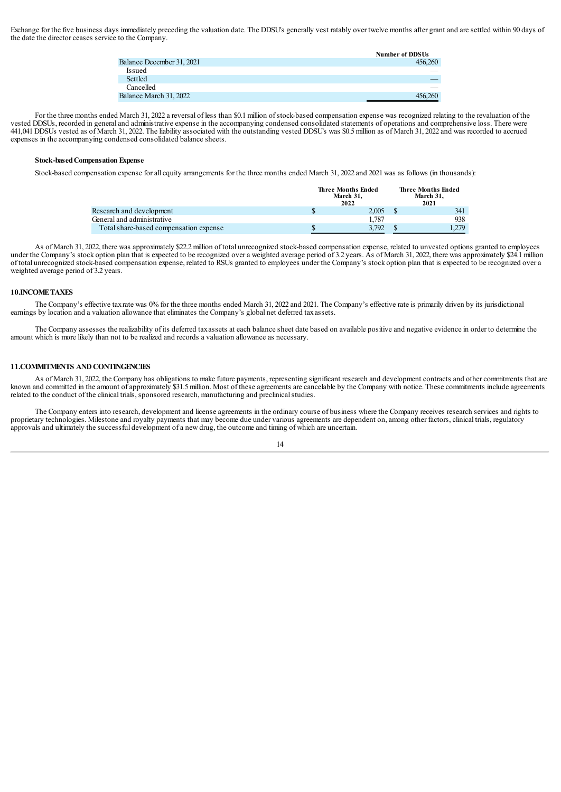Exchange for the five business days immediately preceding the valuation date. The DDSU's generally vest ratably over twelve months after grant and are settled within 90 days of the date the director ceases service to the Company.

|                           | <b>Number of DDSUs</b> |
|---------------------------|------------------------|
| Balance December 31, 2021 | 456.260                |
| Issued                    |                        |
| Settled                   |                        |
| Cancelled                 |                        |
| Balance March 31, 2022    | 456.260                |

For the three months ended March 31, 2022 a reversal of less than \$0.1 million of stock-based compensation expense was recognized relating to the revaluation of the vested DDSUs, recorded in generaland administrative expense in the accompanying condensed consolidated statements of operations and comprehensive loss. There were 441,041DDSUs vested as of March 31, 2022. The liability associated with the outstanding vested DDSU's was \$0.5million as of March 31, 2022 and was recorded to accrued expenses in the accompanying condensed consolidated balance sheets.

## **Stock-basedCompensation Expense**

Stock-based compensation expense for all equity arrangements for the three months ended March 31, 2022 and 2021 was as follows (in thousands):

|                                        | <b>Three Months Ended</b><br>March 31.<br>2022 | <b>Three Months Ended</b><br>March 31.<br>2021 |  |
|----------------------------------------|------------------------------------------------|------------------------------------------------|--|
| Research and development               | 2.005                                          | 341                                            |  |
| General and administrative             | 1.787                                          | 938                                            |  |
| Total share-based compensation expense | 3.792                                          | 270                                            |  |

As of March 31, 2022, there was approximately \$22.2million of total unrecognized stock-based compensation expense, related to unvested options granted to employees under the Company's stock option plan that is expected to be recognized overa weighted average period of 3.2 years. As of March 31, 2022, there was approximately \$24.1million of total unrecognized stock-based compensation expense, related to RSUs granted to employees under the Company's stock option plan that is expected to be recognized overa weighted average period of 3.2 years.

### **10.INCOMETAXES**

The Company's effective taxrate was 0% for the three months ended March 31, 2022 and 2021. The Company's effective rate is primarily driven by its jurisdictional earnings by location and a valuation allowance that eliminates the Company's global net deferred taxassets.

The Company assesses the realizability of its deferred taxassets at each balance sheet date based on available positive and negative evidence in order to determine the amount which is more likely than not to be realized and records a valuation allowance as necessary.

# **11.COMMITMENTS ANDCONTINGENCIES**

As of March 31, 2022, the Company has obligations to make future payments, representing significant research and development contracts and othercommitments that are known and committed in the amount of approximately \$31.5 million. Most of these agreements are cancelable by the Company with notice. These commitments include agreements related to the conduct of the clinical trials, sponsored research, manufacturing and preclinical studies.

The Company enters into research, development and license agreements in the ordinary course of business where the Company receives research services and rights to proprietary technologies. Milestone and royalty payments that may become due under various agreements are dependent on,among other factors,clinical trials, regulatory approvals and ultimately the successful development ofa newdrug, the outcome and timing of which are uncertain.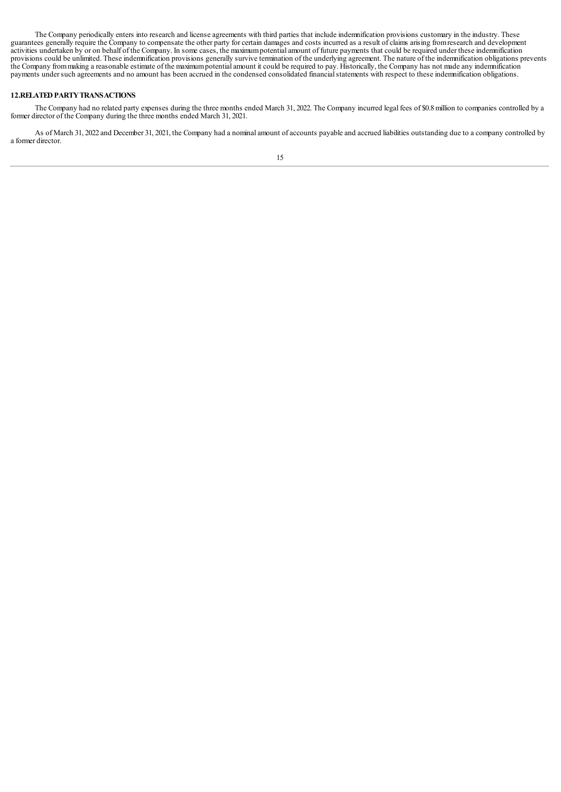The Company periodically enters into research and license agreements with third parties that include indemnification provisions customary in the industry. These guarantees generally require the Company to compensate the other party forcertain damages and costs incurred as a result ofclaims arising fromresearch and development activities undertaken by or on behalf of the Company. In some cases, the maximumpotentialamount of future payments that could be required under these indemnification provisions could be unlimited. These indemnification provisions generally survive termination of the underlying agreement. The nature of the indemnification obligations prevents the Company frommaking a reasonable estimate of the maximumpotentialamount it could be required to pay. Historically, the Company has not made any indemnification payments undersuch agreements and no amount has been accrued in the condensed consolidated financialstatements with respect to these indemnification obligations.

# **12.RELATED PARTY TRANSACTIONS**

The Company had no related party expenses during the three months ended March 31, 2022. The Company incurred legal fees of \$0.8million to companies controlled by a former director of the Company during the three months ended March 31, 2021.

As of March 31, 2022 and December 31, 2021, the Company had a nominalamount ofaccounts payable and accrued liabilities outstanding due to a company controlled by a former director.

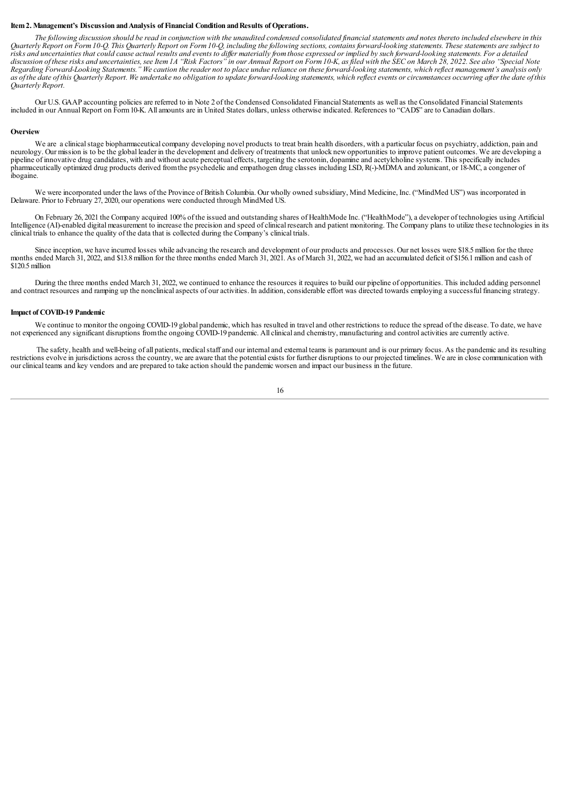### <span id="page-16-0"></span>**Item2. Management's Discussion andAnalysis of Financial Condition andResults ofOperations.**

The following discussion should be read in conjunction with the unaudited condensed consolidated financial statements and notes thereto included elsewhere in this Quarterly Report on Form 10-Q. This Quarterly Report on Form 10-Q, including the following sections, contains forward-looking statements. These statements are subject to risks and uncertainties that could cause actual results and events to differ materially from those expressed or implied by such forward-looking statements. For a detailed discussion of these risks and uncertainties, see Item 1A "Risk Factors" in our Annual Report on Form 10-K, as filed with the SEC on March 28, 2022. See also "Special Note Regarding Forward-Looking Statements." We caution the reader not to place undue reliance on these forward-looking statements, which reflect management's analysis only as of the date of this Quarterly Report. We undertake no obligation to update forward-looking statements, which reflect events or circumstances occurring after the date of this *Quarterly Report.*

Our U.S. GAAP accounting policies are referred to in Note 2 of the Condensed Consolidated Financial Statements as wellas the Consolidated Financial Statements included in our Annual Report on Form10-K. Allamounts are in United States dollars, unless otherwise indicated. References to "CAD\$" are to Canadian dollars.

#### **Overview**

We are a clinical stage biopharmaceutical company developing novel products to treat brain health disorders, with a particular focus on psychiatry, addiction, pain and neurology. Ourmission is to be the global leader in the development and delivery of treatments that unlock newopportunities to improve patient outcomes. We are developing a pipeline of innovative drug candidates, with and without acute perceptualeffects, targeting the serotonin, dopamine and acetylcholine systems. This specifically includes pharmaceutically optimized drug products derived fromthe psychedelic and empathogen drug classes including LSD, R(-)-MDMA and zolunicant, or 18-MC,a congener of ibogaine.

We were incorporated under the laws of the Province of British Columbia. Our wholly owned subsidiary, Mind Medicine, Inc. ("MindMed US") was incorporated in Delaware. Prior to February 27, 2020, our operations were conducted through MindMed US.

On February 26, 2021 the Company acquired 100% of the issued and outstanding shares of HealthMode Inc. ("HealthMode"),a developer of technologies using Artificial Intelligence (AI)-enabled digital measurement to increase the precision and speed of clinical research and patient monitoring. The Company plans to utilize these technologies in its clinical trials to enhance the quality of the data that is collected during the Company's clinical trials.

Since inception, we have incurred losses while advancing the research and development of our products and processes. Our net losses were \$18.5 million for the three months ended March 31, 2022, and \$13.8 million for the three months ended March 31, 2021. As of March 31, 2022, we had an accumulated deficit of \$156.1 million and cash of \$120.5 million

During the three months ended March 31, 2022, we continued to enhance the resources it requires to build our pipeline of opportunities. This included adding personnel and contract resources and ramping up the nonclinical aspects of our activities. In addition, considerable effort was directed towards employing a successful financing strategy.

## **Impact of COVID-19 Pandemic**

We continue to monitor the ongoing COVID-19 global pandemic, which has resulted in travel and other restrictions to reduce the spread of the disease. To date, we have not experienced any significant disruptions from the ongoing COVID-19 pandemic. All clinical and chemistry, manufacturing and control activities are currently active.

The safety, health and well-being of all patients, medical staff and our internal and external teams is paramount and is our primary focus. As the pandemic and its resulting restrictions evolve in jurisdictions across the country, we are aware that the potentialexists for further disruptions to our projected timelines. We are in close communication with ourclinical teams and key vendors and are prepared to take action should the pandemic worsen and impact our business in the future.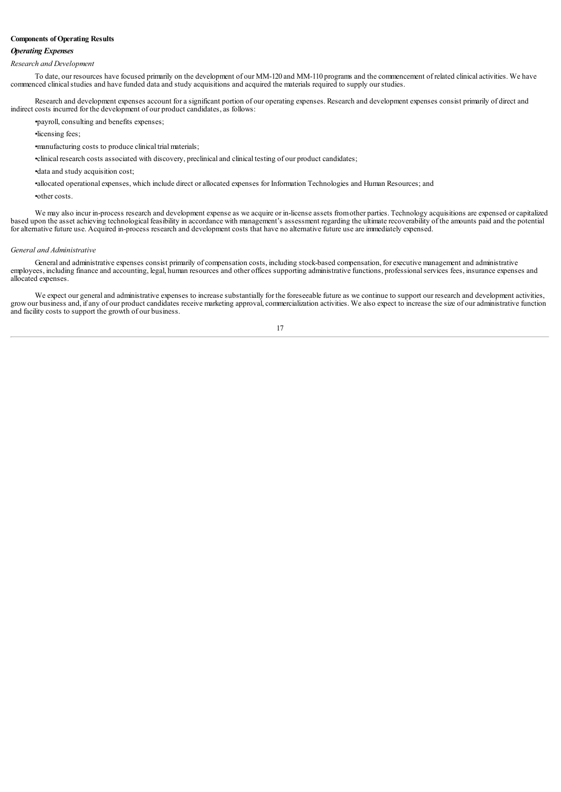## **Components** of Operating Results

# *Operating Expenses*

#### *Research and Development*

To date, our resources have focused primarily on the development of our MM-120 and MM-110 programs and the commencement of related clinicalactivities. We have commenced clinical studies and have funded data and study acquisitions and acquired the materials required to supply our studies.

Research and development expenses account fora significant portion of our operating expenses. Research and development expenses consist primarily of direct and indirect costs incurred for the development of our product candidates, as follows:

•payroll,consulting and benefits expenses;

•licensing fees;

•manufacturing costs to produce clinical trial materials;

•clinical research costs associated with discovery, preclinicaland clinical testing of our product candidates;

•data and study acquisition cost;

•allocated operationalexpenses, which include direct orallocated expenses for Information Technologies and Human Resources; and

•other costs.

We may also incur in-process research and development expense as we acquire or in-license assets fromother parties. Technology acquisitions are expensed orcapitalized based upon the asset achieving technological feasibility in accordance with management's assessment regarding the ultimate recoverability of the amounts paid and the potential foralternative future use. Acquired in-process research and development costs that have no alternative future use are immediately expensed.

#### *General and Administrative*

General and administrative expenses consist primarily of compensation costs, including stock-based compensation, for executive management and administrative employees, including finance and accounting, legal, human resources and other offices supporting administrative functions, professionalservices fees, insurance expenses and allocated expenses.

We expect our general and administrative expenses to increase substantially for the foreseeable future as we continue to support our research and development activities, growour business and, ifany of our product candidates receive marketing approval,commercialization activities. We also expect to increase the size of ouradministrative function and facility costs to support the growth of our business.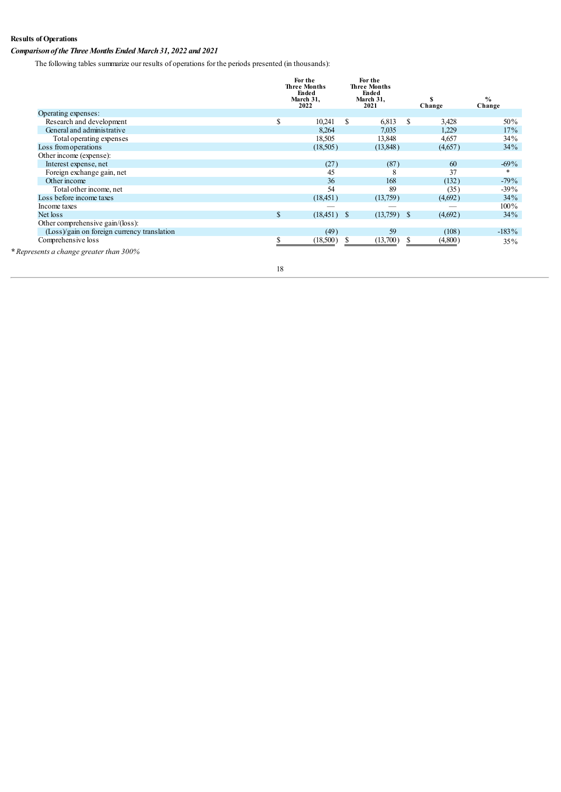# **Results** of Operations

# *Comparison ofthe Three Months Ended March 31, 2022 and 2021*

The following tables summarize our results of operations for the periods presented (in thousands):

|                                             |    | For the<br><b>Three Months</b><br>Ended<br>March 31,<br>2022 |    | For the<br><b>Three Months</b><br>Ended<br>March 31,<br>2021 |    | Change  | $\frac{0}{0}$<br>Change |
|---------------------------------------------|----|--------------------------------------------------------------|----|--------------------------------------------------------------|----|---------|-------------------------|
| Operating expenses:                         |    |                                                              |    |                                                              |    |         |                         |
| Research and development                    | ъ  | 10,241                                                       | \$ | 6,813                                                        | \$ | 3,428   | 50%                     |
| General and administrative                  |    | 8,264                                                        |    | 7,035                                                        |    | 1,229   | 17%                     |
| Total operating expenses                    |    | 18,505                                                       |    | 13,848                                                       |    | 4,657   | 34%                     |
| Loss from operations                        |    | (18,505)                                                     |    | (13, 848)                                                    |    | (4,657) | 34%                     |
| Other income (expense):                     |    |                                                              |    |                                                              |    |         |                         |
| Interest expense, net                       |    | (27)                                                         |    | (87)                                                         |    | 60      | $-69%$                  |
| Foreign exchange gain, net                  |    | 45                                                           |    | 8                                                            |    | 37      | *                       |
| Other income                                |    | 36                                                           |    | 168                                                          |    | (132)   | $-79%$                  |
| Total other income, net                     |    | 54                                                           |    | 89                                                           |    | (35)    | $-39%$                  |
| Loss before income taxes                    |    | (18, 451)                                                    |    | (13,759)                                                     |    | (4,692) | 34%                     |
| Income taxes                                |    |                                                              |    |                                                              |    |         | $100\%$                 |
| Net loss                                    | \$ | $(18,451)$ \$                                                |    | $(13,759)$ \$                                                |    | (4,692) | 34%                     |
| Other comprehensive gain/(loss):            |    |                                                              |    |                                                              |    |         |                         |
| (Loss)/gain on foreign currency translation |    | (49)                                                         |    | 59                                                           |    | (108)   | $-183%$                 |
| Comprehensive loss                          |    | (18,500)                                                     | S. | (13,700)                                                     | S  | (4,800) | 35%                     |
| * Represents a change greater than 300%     |    |                                                              |    |                                                              |    |         |                         |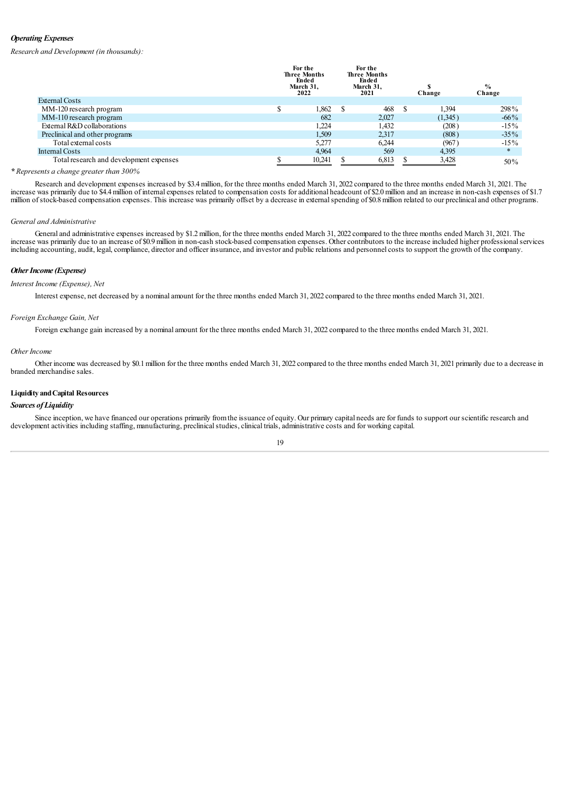# *Operating Expenses*

*Research and Development (in thousands):*

|                                         | For the<br><b>Three Months</b><br>Ended<br>March 31,<br>2022 |    | For the<br><b>Three Months</b><br>Ended<br>March 31.<br>2021 | Change  | $\frac{0}{0}$<br>Change |
|-----------------------------------------|--------------------------------------------------------------|----|--------------------------------------------------------------|---------|-------------------------|
| External Costs                          |                                                              |    |                                                              |         |                         |
| MM-120 research program                 | 1,862                                                        | -S | 468                                                          | 1,394   | 298%                    |
| MM-110 research program                 | 682                                                          |    | 2.027                                                        | (1,345) | $-66\%$                 |
| External R&D collaborations             | 1.224                                                        |    | 1.432                                                        | (208)   | $-15\%$                 |
| Preclinical and other programs          | 1,509                                                        |    | 2,317                                                        | (808)   | $-35\%$                 |
| Total external costs                    | 5,277                                                        |    | 6.244                                                        | (967)   | $-15\%$                 |
| <b>Internal Costs</b>                   | 4.964                                                        |    | 569                                                          | 4,395   | $\ast$                  |
| Total research and development expenses | 10,241                                                       |    | 6,813                                                        | 3,428   | 50%                     |

*\* Represents a change greater than 300%*

Research and development expenses increased by \$3.4million, for the three months ended March 31, 2022 compared to the three months ended March 31, 2021. The increase was primarily due to \$4.4 million of internal expenses related to compensation costs for additional headcount of \$2.0 million and an increase in non-cash expenses of \$1.7 million ofstock-based compensation expenses. This increase was primarily offset by a decrease in externalspending of \$0.8million related to our preclinicaland other programs.

# *General and Administrative*

Generaland administrative expenses increased by \$1.2million, for the three months ended March 31, 2022 compared to the three months ended March 31, 2021. The increase was primarily due to an increase of \$0.9million in non-cash stock-based compensation expenses. Othercontributors to the increase included higher professionalservices including accounting,audit, legal,compliance, directorand officer insurance,and investorand public relations and personnelcosts to support the growth of the company.

# **Other Income (Expense)**

# *Interest Income (Expense), Net*

Interest expense, net decreased by a nominalamount for the three months ended March 31, 2022 compared to the three months ended March 31, 2021.

# *Foreign Exchange Gain, Net*

Foreign exchange gain increased by a nominalamount for the three months ended March 31, 2022 compared to the three months ended March 31, 2021.

## *Other Income*

Other income was decreased by \$0.1million for the three months ended March 31, 2022 compared to the three months ended March 31, 2021 primarily due to a decrease in branded merchandise sales.

# **Liquidity andCapital Resources**

# *Sources of Liquidity*

Since inception, we have financed our operations primarily fromthe issuance ofequity. Our primary capital needs are for funds to support ourscientific research and development activities including staffing, manufacturing, preclinical studies, clinical trials, administrative costs and for working capital.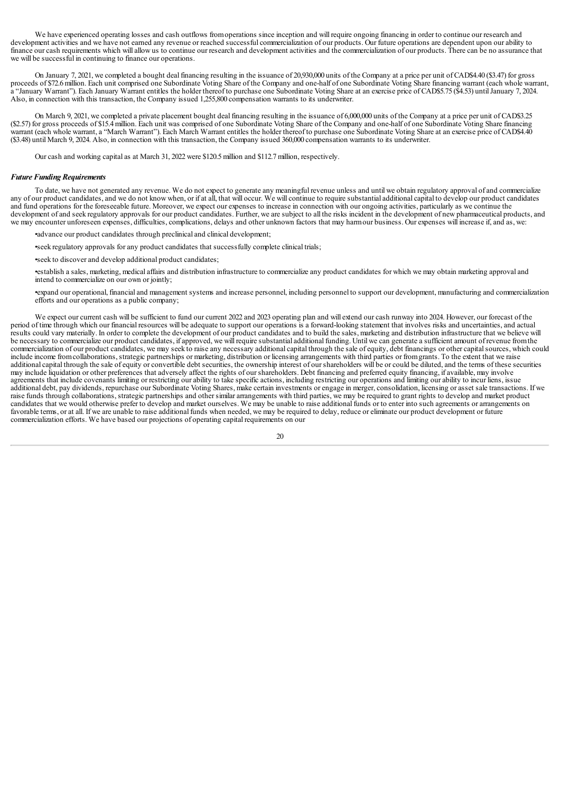We have experienced operating losses and cash outflows from operations since inception and will require ongoing financing in order to continue our research and development activities and we have not earned any revenue or reached successful commercialization of our products. Our future operations are dependent upon our ability to finance our cash requirements which will allow us to continue our research and development activities and the commercialization of our products. There can be no assurance that we will be successful in continuing to finance our operations.

On January 7, 2021, we completed a bought deal financing resulting in the issuance of 20,930,000 units of the Company at a price per unit of CAD\$4.40 (\$3.47) for gross proceeds of \$72.6million. Each unit comprised one Subordinate Voting Share of the Company and one-half of one Subordinate Voting Share financing warrant (each whole warrant, a "January Warrant"). Each January Warrant entitles the holder thereof to purchase one Subordinate Voting Share at an exercise price of CAD\$5.75 (\$4.53) until January 7, 2024. Also, in connection with this transaction, the Company issued 1,255,800 compensation warrants to its underwriter.

On March 9, 2021, we completed a private placement bought deal financing resulting in the issuance of 6,000,000 units of the Company at a price per unit of CAD\$3.25 (\$2.57) for gross proceeds of \$15.4million. Each unit was comprised of one Subordinate Voting Share of the Company and one-half of one Subordinate Voting Share financing warrant (each whole warrant,a "March Warrant"). Each March Warrant entitles the holder thereof to purchase one Subordinate Voting Share at an exercise price of CAD\$4.40 (\$3.48) untilMarch 9, 2024. Also, in connection with this transaction, the Company issued 360,000 compensation warrants to its underwriter.

Our cash and working capital as at March 31, 2022 were \$120.5 million and \$112.7 million, respectively.

#### *Future Funding Requirements*

To date, we have not generated any revenue. We do not expect to generate any meaningful revenue unless and untilwe obtain regulatory approval ofand commercialize any of our product candidates, and we do not know when, or if at all, that will occur. We will continue to require substantial additional capital to develop our product candidates and fund operations for the foreseeable future. Moreover, we expect ourexpenses to increase in connection with our ongoing activities, particularly as we continue the development of and seek regulatory approvals for our product candidates. Further, we are subject to all the risks incident in the development of new pharmaceutical products, and development of new pharmaceutical products, we may encounter unforeseen expenses, difficulties, complications, delays and other unknown factors that may harmour business. Our expenses will increase if, and as, we:

•advance our product candidates through preclinical and clinical development;

•seek regulatory approvals forany product candidates that successfully complete clinical trials;

•seek to discoverand develop additional product candidates;

•establish a sales, marketing, medicalaffairs and distribution infrastructure to commercialize any product candidates for which we may obtain marketing approvaland intend to commercialize on our own or jointly;

•expand our operational, financialand management systems and increase personnel, including personnel to support our development, manufacturing and commercialization efforts and our operations as a public company;

We expect our current cash will be sufficient to fund our current 2022 and 2023 operating plan and will extend our cash runway into 2024. However, our forecast of the period of time through which our financial resources will be adequate to support our operations is a forward-looking statement that involves risks and uncertainties, and actual results could vary materially. In order to complete the development of our product candidates and to build the sales, marketing and distribution infrastructure that we believe will be necessary to commercialize our product candidates, if approved, we will require substantial additional funding. Until we can generate a sufficient amount of revenue from the commercialization of our product candidates, we may seek to raise any necessary additionalcapital through the sale ofequity, debt financings or othercapitalsources, which could include income fromcollaborations, strategic partnerships ormarketing, distribution or licensing arrangements with third parties or fromgrants. To the extent that we raise additional capital through the sale of equity or convertible debt securities, the ownership interest of our shareholders will be or could be diluted, and the terms of these securities may include liquidation or other preferences that adversely affect the rights of ourshareholders. Debt financing and preferred equity financing, ifavailable, may involve agreements that include covenants limiting or restricting ourability to take specific actions, including restricting our operations and limiting ourability to incur liens, issue additional debt, pay dividends, repurchase our Subordinate Voting Shares, make certain investments orengage in merger,consolidation, licensing orasset sale transactions. If we raise funds through collaborations, strategic partnerships and othersimilararrangements with third parties, we may be required to grant rights to develop and market product candidates that we would otherwise prefer to develop and market ourselves. We may be unable to raise additional funds or to enter into such agreements orarrangements on favorable terms, or at all. If we are unable to raise additional funds when needed, we may be required to delay, reduce or eliminate our product development or future commercialization efforts. We have based our projections of operating capital requirements on our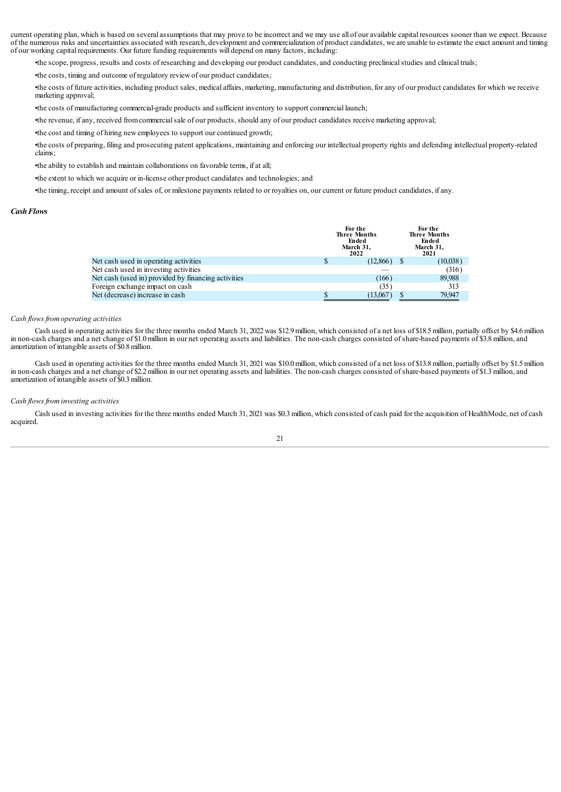current operating plan, which is based on severalassumptions that may prove to be incorrect and we may use all of ouravailable capital resources sooner than we expect. Because of the numerous risks and uncertainties associated with research, development and commercialization of product candidates, we are unable to estimate the exact amount and timing of our working capital requirements. Our future funding requirements will depend on many factors, including:

•the scope, progress, results and costs of researching and developing our product candidates,and conducting preclinicalstudies and clinical trials;

•the costs, timing and outcome of regulatory reviewof our product candidates;

•the costs of future activities, including product sales, medicalaffairs, marketing, manufacturing and distribution, forany of our product candidates for which we receive marketing approval;

•the costs ofmanufacturing commercial-grade products and sufficient inventory to support commercial launch;

•the revenue, ifany, received fromcommercialsale of our products, should any of our product candidates receive marketing approval;

•the cost and timing of hiring newemployees to support ourcontinued growth;

•the costs of preparing, filing and prosecuting patent applications, maintaining and enforcing our intellectual property rights and defending intellectual property-related claims;

•the ability to establish and maintain collaborations on favorable terms, ifat all;

•the extent to which we acquire or in-license other product candidates and technologies; and

•the timing, receipt and amount ofsales of, ormilestone payments related to or royalties on, ourcurrent or future product candidates, ifany.

# *Cash Flows*

|                                                     |   | For the<br><b>Three Months</b><br>Ended<br>March 31,<br>2022 | For the<br><b>Three Months</b><br>Ended<br>March 31,<br>2021 |
|-----------------------------------------------------|---|--------------------------------------------------------------|--------------------------------------------------------------|
| Net cash used in operating activities               | S | (12,866)                                                     | (10.038)                                                     |
| Net cash used in investing activities               |   |                                                              | (316)                                                        |
| Net cash (used in) provided by financing activities |   | (166)                                                        | 89,988                                                       |
| Foreign exchange impact on cash                     |   | (35)                                                         | 313                                                          |
| Net (decrease) increase in cash                     |   | (13,067)                                                     | 79.947                                                       |

#### *Cash flows fromoperating activities*

Cash used in operating activities for the three months ended March 31, 2022was \$12.9million, which consisted ofa net loss of \$18.5million, partially offset by \$4.6million in non-cash charges and a net change of \$1.0million in our net operating assets and liabilities. The non-cash charges consisted ofshare-based payments of \$3.8million,and amortization of intangible assets of \$0.8million.

Cash used in operating activities for the three months ended March 31, 2021was \$10.0million, which consisted ofa net loss of \$13.8million, partially offset by \$1.5million in non-cash charges and a net change of \$2.2million in our net operating assets and liabilities. The non-cash charges consisted ofshare-based payments of \$1.3million,and amortization of intangible assets of  $\overline{S}0.3$  million.

# *Cash flows frominvesting activities*

Cash used in investing activities for the three months ended March 31, 2021 was \$0.3 million, which consisted of cash paid for the acquisition of HealthMode, net of cash acquired.

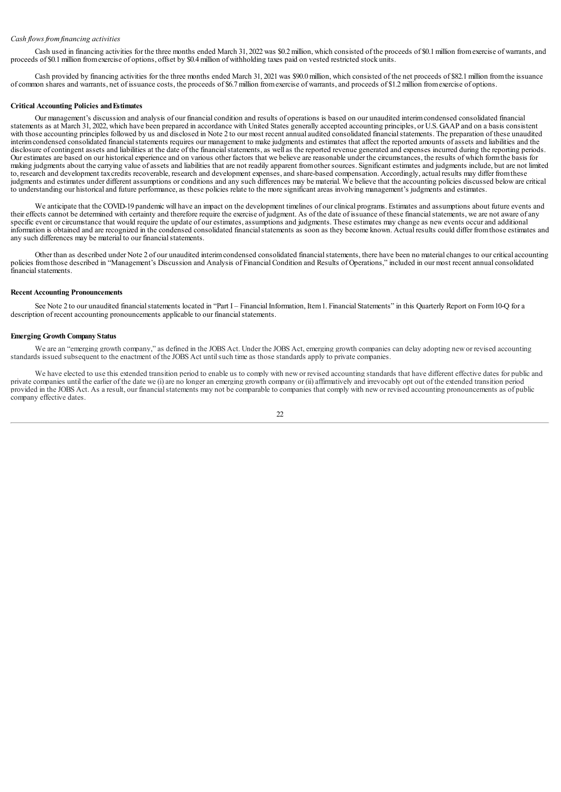## *Cash flows fromfinancing activities*

Cash used in financing activities for the three months ended March 31, 2022 was \$0.2 million, which consisted of the proceeds of \$0.1 million from exercise of warrants, and proceeds of \$0.1million fromexercise of options, offset by \$0.4million of withholding taxes paid on vested restricted stock units.

Cash provided by financing activities for the three months ended March 31, 2021 was \$90.0 million, which consisted of the net proceeds of \$82.1 million from the issuance ofcommon shares and warrants, net of issuance costs, the proceeds of \$6.7million fromexercise of warrants,and proceeds of \$1.2million fromexercise of options.

#### **Critical Accounting Policies andEstimates**

Our management's discussion and analysis of our financial condition and results of operations is based on our unaudited interim condensed consolidated financial statements as at March 31, 2022, which have been prepared in accordance with United States generally accepted accounting principles, or U.S. GAAP and on a basis consistent with those accounting principles followed by us and disclosed in Note 2 to our most recent annual audited consolidated financial statements. The preparation of these unaudited interim condensed consolidated financial statements requires our management to make judgments and estimates that affect the reported amounts of assets and liabilities and the disclosure of contingent assets and liabilities at the date of the financial statements, as well as the reported revenue generated and expenses incurred during the reporting periods. Ourestimates are based on our historicalexperience and on various other factors that we believe are reasonable under the circumstances, the results of which formthe basis for making judgments about the carrying value of assets and liabilities that are not readily apparent from other sources. Significant estimates and judgments include, but are not limited to, research and development tax credits recoverable, research and development expenses, and share-based compensation. Accordingly, actual results may differ from these judgments and estimates under different assumptions orconditions and any such differences may be material. We believe that the accounting policies discussed beloware critical to understanding our historical and future performance, as these policies relate to the more significant areas involving management's judgments and estimates

We anticipate that the COVID-19 pandemic will have an impact on the development timelines of our clinical programs. Estimates and assumptions about future events and their effects cannot be determined with certainty and therefore require the exercise of judgment. As of the date of issuance of these financial statements, we are not aware of any specific event or circumstance that would require the update of our estimates, assumptions and judgments. These estimates may change as new events occur and additional information is obtained and are recognized in the condensed consolidated financialstatements as soon as they become known. Actual results could differ fromthose estimates and any such differences may be material to our financial statements.

Other than as described under Note 2 of our unaudited interimcondensed consolidated financialstatements, there have been no materialchanges to ourcriticalaccounting policies fromthose described in "Management's Discussion and Analysis of Financial Condition and Results of Operations," included in ourmost recent annualconsolidated financial statements.

### **Recent Accounting Pronouncements**

See Note 2 to our unaudited financial statements located in "Part I – Financial Information, Item 1. Financial Statements" in this Quarterly Report on Form 10-Q for a description of recent accounting pronouncements applicable to our financial statements.

### **Emerging Growth Company Status**

We are an "emerging growth company," as defined in the JOBS Act. Under the JOBS Act, emerging growth companies can delay adopting new or revised accounting standards issued subsequent to the enactment of the JOBS Act untilsuch time as those standards apply to private companies.

We have elected to use this extended transition period to enable us to comply with new or revised accounting standards that have different effective dates for public and private companies until the earlier of the date we (i) are no longer an emerging growth company or (ii) affirmatively and irrevocably opt out of the extended transition period provided in the JOBS Act. As a result, our financialstatements may not be comparable to companies that comply with newor revised accounting pronouncements as of public company effective dates.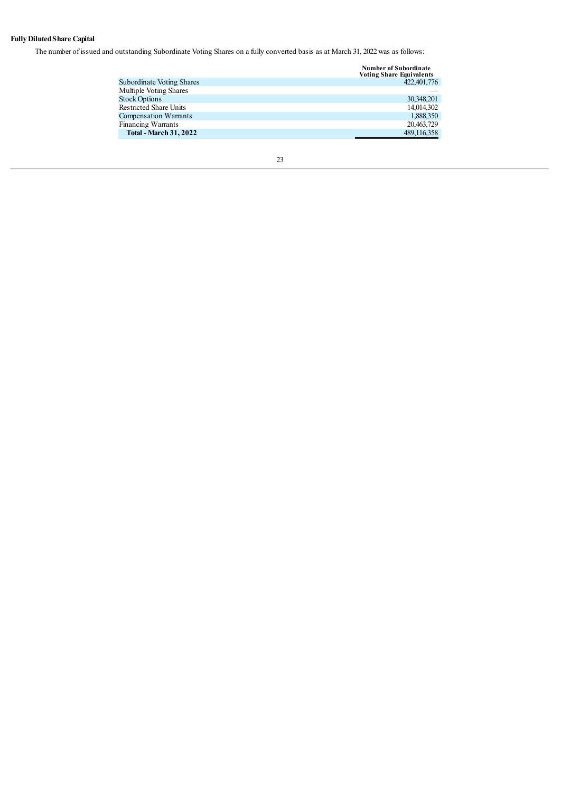# **FullyDilutedShare Capital**

The number of issued and outstanding Subordinate Voting Shares on a fully converted basis as at March 31, 2022 was as follows:

|                               | <b>Number of Subordinate</b><br><b>Voting Share Equivalents</b> |
|-------------------------------|-----------------------------------------------------------------|
| Subordinate Voting Shares     | 422,401,776                                                     |
| Multiple Voting Shares        |                                                                 |
| <b>Stock Options</b>          | 30,348,201                                                      |
| Restricted Share Units        | 14,014,302                                                      |
| <b>Compensation Warrants</b>  | 1.888.350                                                       |
| Financing Warrants            | 20,463,729                                                      |
| <b>Total - March 31, 2022</b> | 489,116,358                                                     |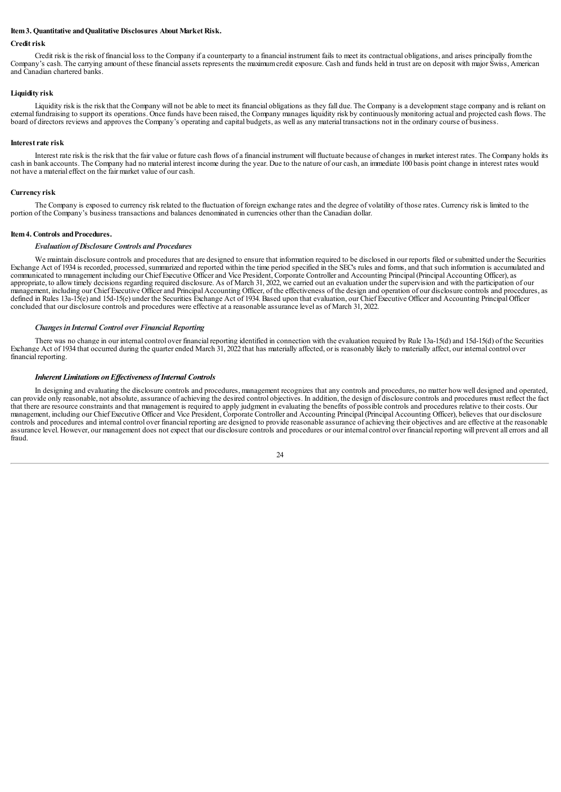# <span id="page-24-0"></span>**Item3. Quantitative andQualitative Disclosures About Market Risk.**

#### **Creditrisk**

Credit risk is the risk of financial loss to the Company if a counterparty to a financial instrument fails to meet its contractual obligations, and arises principally from the Company's cash. The carrying amount of these financial assets represents the maximum credit exposure. Cash and funds held in trust are on deposit with major Swiss, American and Canadian chartered banks.

#### **Liquidity risk**

Liquidity risk is the risk that the Company will not be able to meet its financial obligations as they fall due. The Company is a development stage company and is reliant on external fundraising to support its operations. Once funds have been raised, the Company manages liquidity risk by continuously monitoring actualand projected cash flows. The board of directors reviews and approves the Company's operating and capital budgets, as well as any material transactions not in the ordinary course of business.

#### **Interestrate risk**

Interest rate risk is the risk that the fair value or future cash flows ofa financial instrument will fluctuate because ofchanges in market interest rates. The Company holds its cash in bank accounts. The Company had no material interest income during the year. Due to the nature of ourcash,an immediate 100 basis point change in interest rates would not have a material effect on the fair market value of our cash.

### **Currency risk**

The Company is exposed to currency risk related to the fluctuation of foreign exchange rates and the degree of volatility of those rates. Currency risk is limited to the portion of the Company's business transactions and balances denominated in currencies other than the Canadian dollar.

### <span id="page-24-1"></span>**Item 4. Controls and Procedures.**

### *Evaluation ofDisclosure Controls and Procedures*

We maintain disclosure controls and procedures that are designed to ensure that information required to be disclosed in our reports filed or submitted under the Securities Exchange Act of 1934 is recorded, processed, summarized and reported within the time period specified in the SEC's rules and forms, and that such information is accumulated and communicated to management including our Chief Executive Officer and Vice President, Corporate Controller and Accounting Principal (Principal Accounting Officer), as appropriate, to allowtimely decisions regarding required disclosure. As of March 31, 2022, we carried out an evaluation under the supervision and with the participation of our management, including our Chief Executive Officer and Principal Accounting Officer, of the effectiveness of the design and operation of our disclosure controls and procedures, as defined in Rules 13a-15(e) and 15d-15(e) under the Securities Exchange Act of 1934. Based upon that evaluation, our Chief Executive Officer and Accounting Principal Officer concluded that our disclosure controls and procedures were effective at a reasonable assurance levelas of March 31, 2022.

#### *Changesin Internal Control over Financial Reporting*

There was no change in our internal control over financial reporting identified in connection with the evaluation required by Rule 13a-15(d) and 15d-15(d) of the Securities Exchange Act of 1934 that occurred during the quarter ended March 31, 2022 that has materially affected, or is reasonably likely to materially affect, our internal control over financial reporting.

#### *Inherent Limitations onEf ectiveness ofInternal Controls*

In designing and evaluating the disclosure controls and procedures, management recognizes that any controls and procedures, no matter howwell designed and operated, can provide only reasonable, not absolute, assurance of achieving the desired control objectives. In addition, the design of disclosure controls and procedures must reflect the fact that there are resource constraints and that management is required to apply judgment in evaluating the benefits of possible controls and procedures relative to theircosts. Our management, including our Chief Executive Officer and Vice President, Corporate Controller and Accounting Principal (Principal Accounting Officer), believes that our disclosure controls and procedures and internal control over financial reporting are designed to provide reasonable assurance of achieving their objectives and are effective at the reasonable assurance level. However, our management does not expect that our disclosure controls and procedures or our internal control over financial reporting will prevent all errors and all fraud.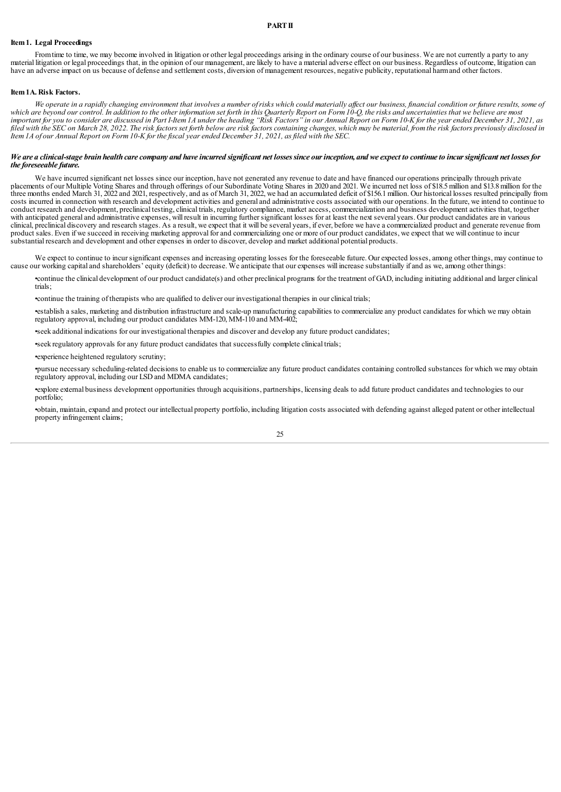### **PARTII**

# <span id="page-25-1"></span><span id="page-25-0"></span>**Item1. Legal Proceedings**

From time to time, we may become involved in litigation or other legal proceedings arising in the ordinary course of our business. We are not currently a party to any material litigation or legal proceedings that, in the opinion of our management, are likely to have a material adverse effect on our business. Regardless of outcome, litigation can have an adverse impact on us because of defense and settlement costs, diversion of management resources, negative publicity, reputational harmand other factors.

## <span id="page-25-2"></span>**Item1A. Risk Factors.**

We operate in a rapidly changing environment that involves a number of risks which could materially affect our business, financial condition or future results, some of which are beyond our control. In addition to the other information set forth in this Quarterly Report on Form 10-Q, the risks and uncertainties that we believe are most important for you to consider are discussed in Part I-Item 1A under the heading "Risk Factors" in our Annual Report on Form 10-K for the year ended December 31, 2021, as filed with the SEC on March 28, 2022. The risk factors set forth below are risk factors containing changes, which may be material, from the risk factors previously disclosed in Item 1A of our Annual Report on Form 10-K for the fiscal year ended December 31, 2021, as filed with the SEC.

## We are a clinical-stage brain health care company and have incurred significant net losses since our inception, and we expect to continue to incur significant net losses for *the foreseeable future.*

We have incurred significant net losses since our inception, have not generated any revenue to date and have financed our operations principally through private placements of our Multiple Voting Shares and through offerings of our Subordinate Voting Shares in 2020 and 2021. We incurred net loss of \$18.5million and \$13.8million for the three months ended March 31, 2022 and 2021, respectively, and as of March 31, 2022, we had an accumulated deficit of \$156.1 million. Our historical losses resulted principally from costs incurred in connection with research and development activities and generaland administrative costs associated with our operations. In the future, we intend to continue to conduct research and development, preclinical testing, clinical trials, regulatory compliance, market access, commercialization and business development activities that, together with anticipated general and administrative expenses, will result in incurring further significant losses for at least the next several years. Our product candidates are in various clinical, preclinical discovery and research stages. As a result, we expect that it will be several years, ifever, before we have a commercialized product and generate revenue from product sales. Even if we succeed in receiving marketing approval forand commercializing one ormore of our product candidates, we expect that we willcontinue to incur substantial research and development and otherexpenses in order to discover, develop and market additional potential products.

We expect to continue to incur significant expenses and increasing operating losses for the foreseeable future. Our expected losses, among other things, may continue to cause our working capitaland shareholders'equity (deficit) to decrease. We anticipate that ourexpenses will increase substantially ifand as we,among other things:

•continue the clinical development of our product candidate(s)and other preclinical programs for the treatment of GAD, including initiating additionaland largerclinical trials;

•continue the training of therapists who are qualified to deliver our investigational therapies in ourclinical trials;

•establish a sales, marketing and distribution infrastructure and scale-up manufacturing capabilities to commercialize any product candidates for which we may obtain regulatory approval, including our product candidates MM-120, MM-110 and MM-402;

•seek additional indications for our investigational therapies and discoverand develop any future product candidates;

•seek regulatory approvals forany future product candidates that successfully complete clinical trials;

•experience heightened regulatory scrutiny;

•pursue necessary scheduling-related decisions to enable us to commercialize any future product candidates containing controlled substances for which we may obtain regulatory approval, including our LSDand MDMA candidates;

•explore external business development opportunities through acquisitions, partnerships, licensing deals to add future product candidates and technologies to our portfolio;

•obtain, maintain,expand and protect our intellectual property portfolio, including litigation costs associated with defending against alleged patent or other intellectual property infringement claims;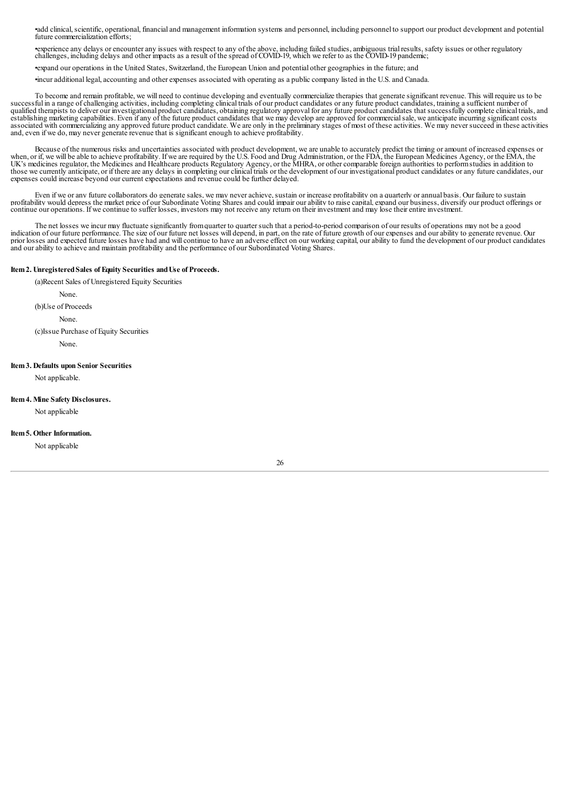•add clinical, scientific, operational, financialand management information systems and personnel, including personnel to support our product development and potential future commercialization efforts;

experience any delays or encounter any issues with respect to any of the above, including failed studies, ambiguous trial results, safety issues or other regulatory challenges, including delays and other impacts as a resul

•expand our operations in the United States, Switzerland, the European Union and potential other geographies in the future; and

•incuradditional legal,accounting and otherexpenses associated with operating as a public company listed in the U.S.and Canada.

To become and remain profitable, we will need to continue developing and eventually commercialize therapies that generate significant revenue. This will require us to be successful in a range of challenging activities, inc qualified therapists to deliver our investigational product candidates, obtaining regulatory approval for any future product candidates that successfully complete clinical trials, and<br>establishing marketing capabilities. E associated with commercializing any approved future product candidate. We are only in the preliminary stages of most of these activities. We may never succeed in these activities and, even if we do, may never generate reve

Because of the numerous risks and uncertainties associated with product development, we are unable to accurately predict the timing or amount of increased expenses or<br>when, or if, we will be able to achieve profitability. expenses could increase beyond our current expectations and revenue could be further delayed.

Even if we or any future collaborators do generate sales, we may never achieve, sustain or increase profitability on a quarterly or annual basis. Our failure to sustain profitability would depress the market price of our Subordinate Voting Shares and could impair our ability to raise capital, expand our business, diversify our product offerings or continue our operations. If we continue to suffer losses, investors may not receive any return on their investment and may lose theirentire investment.

The net losses we incurmay fluctuate significantly fromquarter to quartersuch that a period-to-period comparison of our results of operations may not be a good indication of our future performance. The size of our future net losses will depend, in part, on the rate of future growth of our expenses and our ability to generate revenue. Our<br>prior losses and expected future losses ha and ourability to achieve and maintain profitability and the performance of our Subordinated Voting Shares.

# <span id="page-26-0"></span>**Item2. UnregisteredSales of Equity Securities andUse of Proceeds.**

(a)Recent Sales of Unregistered Equity Securities

None.

(b)Use of Proceeds

None.

(c)Issue Purchase of Equity Securities

None.

# <span id="page-26-1"></span>**Item3. Defaults upon Senior Securities**

Not applicable.

# <span id="page-26-2"></span>**Item4. Mine SafetyDisclosures.**

Not applicable

#### <span id="page-26-3"></span>**Item5. Other Information.**

Not applicable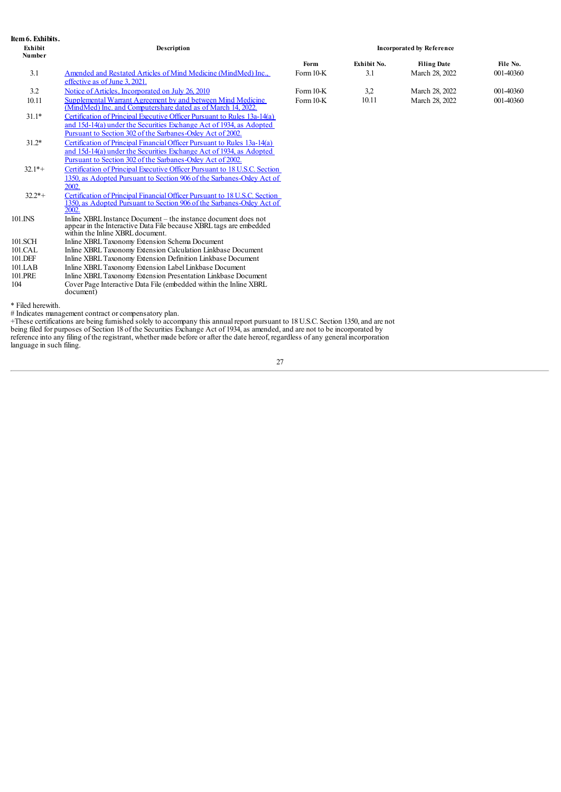<span id="page-27-0"></span>

| Item 6. Exhibits.<br>Exhibit | Description                                                                                            |             |             | <b>Incorporated by Reference</b> |           |
|------------------------------|--------------------------------------------------------------------------------------------------------|-------------|-------------|----------------------------------|-----------|
| <b>Number</b>                |                                                                                                        |             |             |                                  |           |
|                              |                                                                                                        | Form        | Exhibit No. | <b>Filing Date</b>               | File No.  |
| 3.1                          | Amended and Restated Articles of Mind Medicine (MindMed) Inc.,                                         | Form 10-K   | 3.1         | March 28, 2022                   | 001-40360 |
|                              | effective as of June 3, 2021.                                                                          |             |             |                                  |           |
| 3.2                          | Notice of Articles, Incorporated on July 26, 2010                                                      | Form 10-K   | 3,2         | March 28, 2022                   | 001-40360 |
| 10.11                        | Supplemental Warrant Agreement by and between Mind Medicine                                            | Form $10-K$ | 10.11       | March 28, 2022                   | 001-40360 |
|                              | (MindMed) Inc. and Computershare dated as of March 14, 2022.                                           |             |             |                                  |           |
| $31.1*$                      | Certification of Principal Executive Officer Pursuant to Rules 13a-14(a)                               |             |             |                                  |           |
|                              | and 15d-14(a) under the Securities Exchange Act of 1934, as Adopted                                    |             |             |                                  |           |
|                              | Pursuant to Section 302 of the Sarbanes-Oxley Act of 2002.                                             |             |             |                                  |           |
| $31.2*$                      | Certification of Principal Financial Officer Pursuant to Rules 13a-14(a)                               |             |             |                                  |           |
|                              | and 15d-14(a) under the Securities Exchange Act of 1934, as Adopted                                    |             |             |                                  |           |
|                              | Pursuant to Section 302 of the Sarbanes-Oxley Act of 2002.                                             |             |             |                                  |           |
| $32.1*+$                     | Certification of Principal Executive Officer Pursuant to 18 U.S.C. Section                             |             |             |                                  |           |
|                              | 1350, as Adopted Pursuant to Section 906 of the Sarbanes-Oxley Act of                                  |             |             |                                  |           |
|                              | 2002.                                                                                                  |             |             |                                  |           |
| $32.2*+$                     | Certification of Principal Financial Officer Pursuant to 18 U.S.C. Section                             |             |             |                                  |           |
|                              | 1350, as Adopted Pursuant to Section 906 of the Sarbanes-Oxley Act of                                  |             |             |                                  |           |
|                              | 2002.                                                                                                  |             |             |                                  |           |
| 101.INS                      | Inline XBRL Instance Document – the instance document does not                                         |             |             |                                  |           |
|                              | appear in the Interactive Data File because XBRL tags are embedded<br>within the Inline XBRL document. |             |             |                                  |           |
| 101.SCH                      | Inline XBRL Taxonomy Extension Schema Document                                                         |             |             |                                  |           |
| 101.CAL                      | Inline XBRL Taxonomy Extension Calculation Linkbase Document                                           |             |             |                                  |           |
| 101.DEF                      | Inline XBRL Taxonomy Extension Definition Linkbase Document                                            |             |             |                                  |           |
| 101.LAB                      | Inline XBRL Taxonomy Extension Label Linkbase Document                                                 |             |             |                                  |           |
| 101.PRE                      | Inline XBRL Taxonomy Extension Presentation Linkbase Document                                          |             |             |                                  |           |
| 104                          | Cover Page Interactive Data File (embedded within the Inline XBRL                                      |             |             |                                  |           |
|                              | document)                                                                                              |             |             |                                  |           |
|                              |                                                                                                        |             |             |                                  |           |
| * Filed herewith.            |                                                                                                        |             |             |                                  |           |

# Indicates management contract or compensatory plan.

+These certifications are being furnished solely to accompany this annual report pursuant to 18U.S.C. Section 1350,and are not being filed for purposes of Section 18 of the Securities Exchange Act of 1934, as amended, and are not to be incorporated by reference into any filing of the registrant, whethermade before orafter the date hereof, regardless ofany general incorporation language in such filing.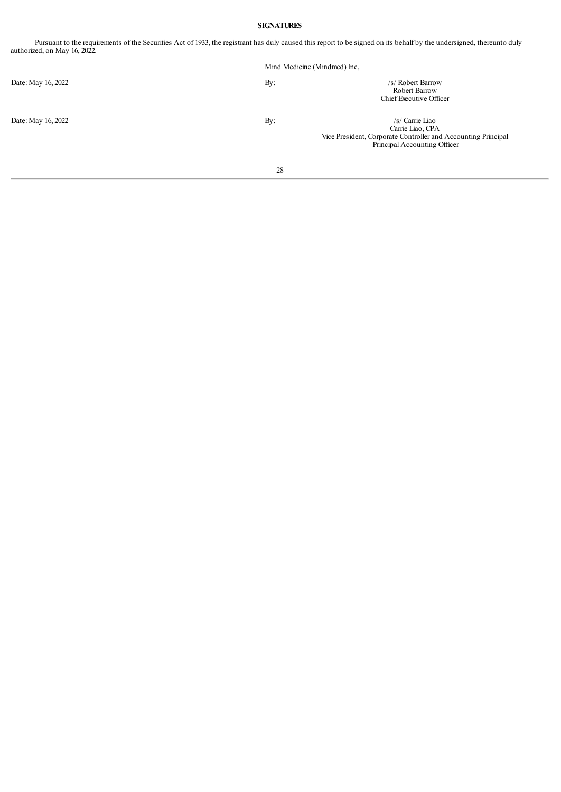# **SIGNATURES**

<span id="page-28-0"></span>Pursuant to the requirements of the Securities Act of 1933, the registrant has duly caused this report to be signed on its behalf by the undersigned, thereunto duly authorized, on May 16, 2022.

<span id="page-28-1"></span>Mind Medicine (Mindmed) Inc, Date: May 16, 2022 / S/ Robert Barrow By: /s/ Robert Barrow Robert Barrow Chief Executive Officer Date: May 16, 2022 By: /s/ Carrie Liao<br>Carrie Liao, CPA Vice President, Corporate Controllerand Accounting Principal Principal Accounting Officer 28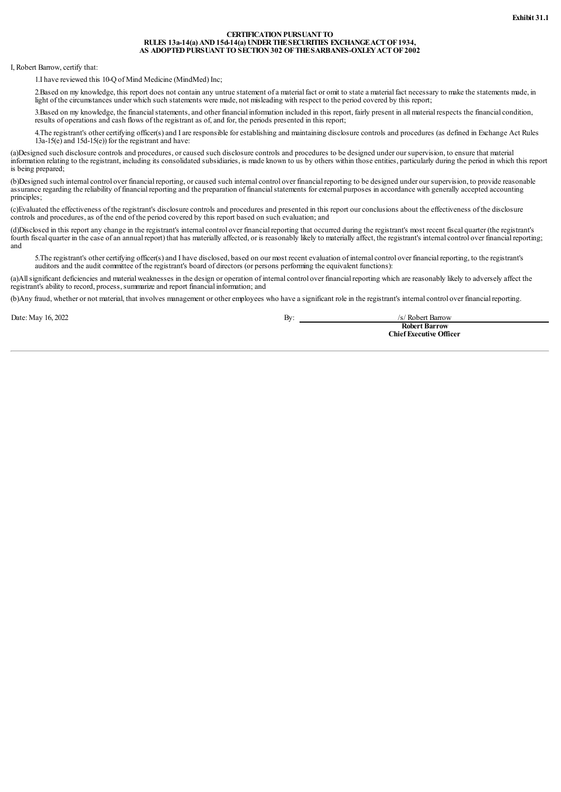**Exhibit 31.1**

#### **CERTIFICATION PURSUANT TO RULES 13a-14(a) AND15d-14(a) UNDERTHESECURITIES EXCHANGEACTOF1934, AS ADOPTEDPURSUANTTOSECTION302 OFTHESARBANES-OXLEYACTOF2002**

I, Robert Barrow, certify that:

1.I have reviewed this 10-Qof Mind Medicine (MindMed) Inc;

2.Based on my knowledge, this report does not contain any untrue statement ofa material fact or omit to state a material fact necessary to make the statements made, in light of the circumstances under which such statements were made, not misleading with respect to the period covered by this report;

3.Based on my knowledge, the financial statements, and other financial information included in this report, fairly present in all material respects the financial condition, results of operations and cash flows of the registrant as of, and for, the periods presented in this report;

4. The registrant's other certifying officer(s) and I are responsible for establishing and maintaining disclosure controls and procedures (as defined in Exchange Act Rules  $13a-15(e)$  and  $15d-15(e)$ ) for the registrant and have:

(a)Designed such disclosure controls and procedures, orcaused such disclosure controls and procedures to be designed under oursupervision, to ensure that material information relating to the registrant, including its consolidated subsidiaries, is made known to us by others within those entities, particularly during the period in which this report is being prepared;

(b)Designed such internalcontrol over financial reporting, orcaused such internalcontrol over financial reporting to be designed under oursupervision, to provide reasonable assurance regarding the reliability of financial reporting and the preparation of financial statements for external purposes in accordance with generally accepted accounting principles;

(c)Evaluated the effectiveness of the registrant's disclosure controls and procedures and presented in this report ourconclusions about the effectiveness of the disclosure controls and procedures, as of the end of the period covered by this report based on such evaluation; and

(d)Disclosed in this report any change in the registrant's internalcontrol over financial reporting that occurred during the registrant's most recent fiscal quarter (the registrant's fourth fiscal quarter in the case of an annual report) that has materially affected, or is reasonably likely to materially affect, the registrant's internal control over financial reporting; and

5. The registrant's other certifying officer(s) and I have disclosed, based on our most recent evaluation of internal control over financial reporting, to the registrant's auditors and the audit committee of the registrant's board of directors (or persons performing the equivalent functions):

(a)Allsignificant deficiencies and materialweaknesses in the design or operation of internalcontrol over financial reporting which are reasonably likely to adversely affect the registrant's ability to record, process, summarize and report financial information; and

(b)Any fraud, whether or not material, that involves management or otheremployees who have a significant role in the registrant's internalcontrol over financial reporting.

<span id="page-29-0"></span>

Date:May 16, 2022 By: /s/ Robert Barrow **Robert Barrow Chief Executive Officer**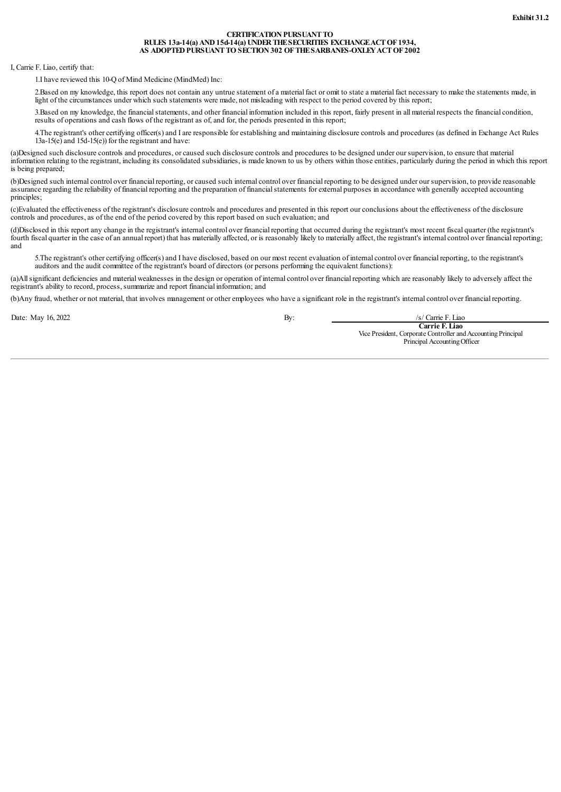**Exhibit 31.2**

#### **CERTIFICATION PURSUANT TO RULES 13a-14(a) AND15d-14(a) UNDERTHESECURITIES EXCHANGEACTOF1934, AS ADOPTEDPURSUANTTOSECTION302 OFTHESARBANES-OXLEYACTOF2002**

I, Carrie F. Liao, certify that:

1.I have reviewed this 10-Qof Mind Medicine (MindMed) Inc:

2.Based on my knowledge, this report does not contain any untrue statement of a material fact or omit to state a material fact necessary to make the statements made, in light of the circumstances under which such statements were made, not misleading with respect to the period covered by this report;

3.Based on my knowledge, the financial statements, and other financial information included in this report, fairly present in all material respects the financial condition, results of operations and cash flows of the registrant as of, and for, the periods presented in this report;

4. The registrant's other certifying officer(s) and I are responsible for establishing and maintaining disclosure controls and procedures (as defined in Exchange Act Rules  $13a-15(e)$  and  $15d-15(e)$ ) for the registrant and have:

(a)Designed such disclosure controls and procedures, orcaused such disclosure controls and procedures to be designed under oursupervision, to ensure that material information relating to the registrant, including its consolidated subsidiaries, is made known to us by others within those entities, particularly during the period in which this report is being prepared;

(b)Designed such internalcontrol over financial reporting, orcaused such internalcontrol over financial reporting to be designed under oursupervision, to provide reasonable assurance regarding the reliability of financial reporting and the preparation of financial statements for external purposes in accordance with generally accepted accounting principles;

(c)Evaluated the effectiveness of the registrant's disclosure controls and procedures and presented in this report ourconclusions about the effectiveness of the disclosure controls and procedures, as of the end of the period covered by this report based on such evaluation; and

(d)Disclosed in this report any change in the registrant's internalcontrol over financial reporting that occurred during the registrant's most recent fiscal quarter (the registrant's fourth fiscal quarter in the case of an annual report) that has materially affected, or is reasonably likely to materially affect, the registrant's internal control over financial reporting; and

5. The registrant's other certifying officer(s) and I have disclosed, based on our most recent evaluation of internal control over financial reporting, to the registrant's auditors and the audit committee of the registrant's board of directors (or persons performing the equivalent functions):

(a)Allsignificant deficiencies and materialweaknesses in the design or operation of internalcontrol over financial reporting which are reasonably likely to adversely affect the registrant's ability to record, process, summarize and report financial information; and

(b)Any fraud, whether or not material, that involves management or otheremployees who have a significant role in the registrant's internalcontrol over financial reporting.

<span id="page-30-0"></span>Date: May 16, 2022 / *S/ Carrie F. Liao* By: /s/ Carrie F. Liao

**Carrie F. Liao** Vice President, Corporate Controller and Accounting Principal Principal AccountingOfficer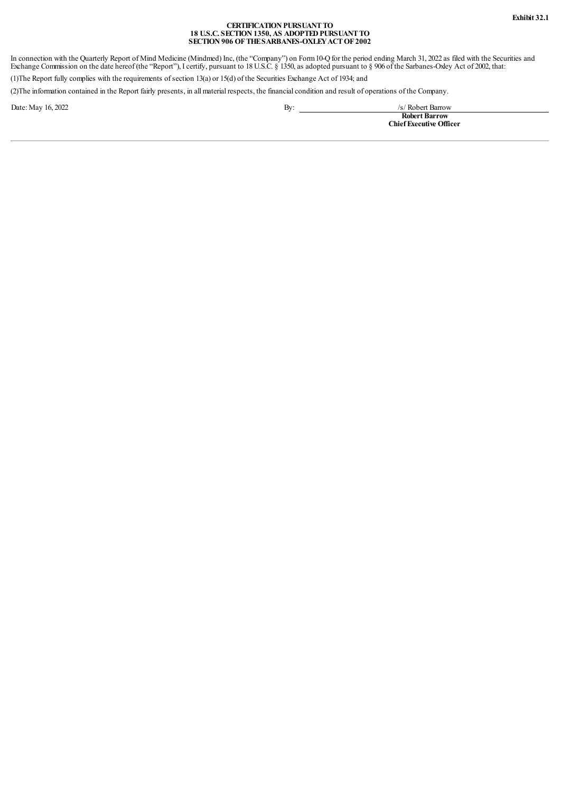#### **CERTIFICATIONPURSUANTTO 18 U.S.C. SECTION1350, AS ADOPTEDPURSUANTTO SECTION906 OFTHESARBANES-OXLEYACTOF2002**

In connection with the Quarterly Report of Mind Medicine (Mindmed) Inc, (the "Company") on Form 10-Q for the period ending March 31, 2022 as filed with the Securities and Exchange Commission on the date hereof (the "Report"), I certify, pursuant to 18 U.S.C. § 1350, as adopted pursuant to § 906 of the Sarbanes-Oxley Act of 2002, that:

(1)The Report fully complies with the requirements ofsection 13(a) or 15(d) of the Securities Exchange Act of 1934; and

(2)The information contained in the Report fairly presents, in allmaterial respects, the financialcondition and result of operations of the Company.

<span id="page-31-0"></span>Date: May 16, 2022 *IS/ Robert Barrow* By: */s/ Robert Barrow* By: /s/ Robert Barrow

**Robert Barrow Chief Executive Officer**